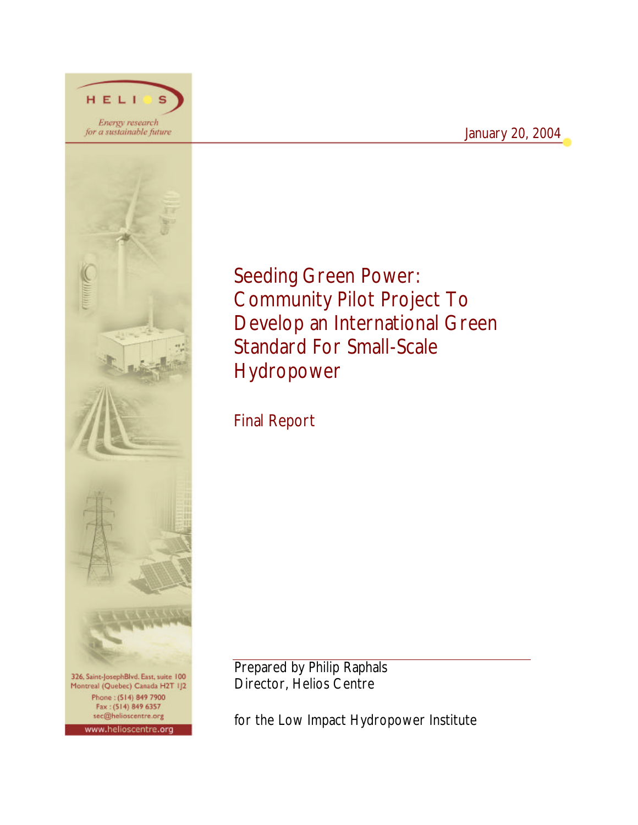# January 20, 2004



HELI

Energy research<br>for a sustainable future

Montreal (Quebec) Canada H2T IJ2 Phone: (514) 849 7900 Fax: (514) 849 6357 sec@helioscentre.org www.helioscentre.org

Seeding Green Power: Community Pilot Project To Develop an International Green Standard For Small-Scale Hydropower

Final Report

Prepared by Philip Raphals Director, Helios Centre

for the Low Impact Hydropower Institute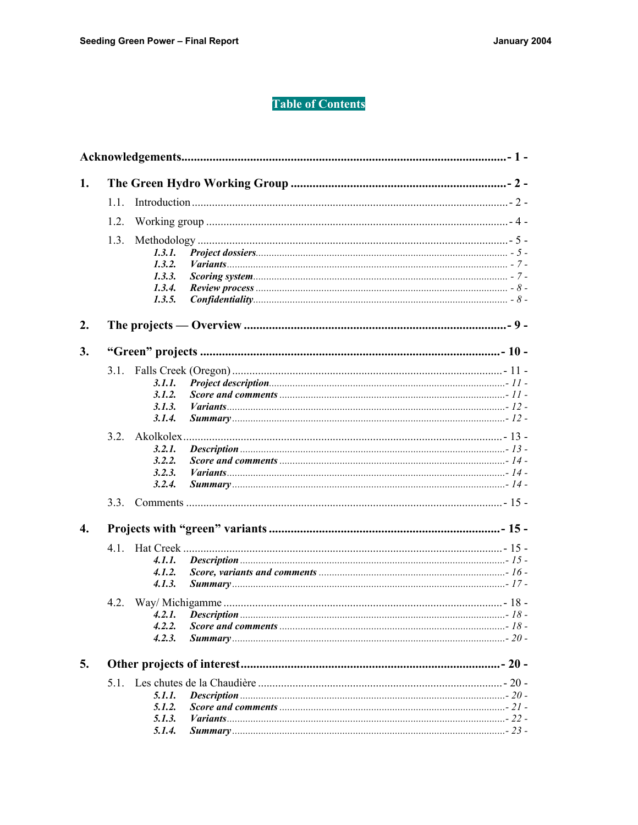# **Table of Contents**

| 1. |      |             |  |  |  |
|----|------|-------------|--|--|--|
|    | 1.1. |             |  |  |  |
|    | 1.2. |             |  |  |  |
|    | 1.3. |             |  |  |  |
|    |      | 1.3.1.      |  |  |  |
|    |      | 1.3.2.      |  |  |  |
|    |      | $1, 3, 3$ . |  |  |  |
|    |      | 1.3.4.      |  |  |  |
|    |      | 1.3.5.      |  |  |  |
| 2. |      |             |  |  |  |
| 3. |      |             |  |  |  |
|    |      |             |  |  |  |
|    |      | 3.1.1.      |  |  |  |
|    |      | 3.1.2.      |  |  |  |
|    |      | 3.1.3.      |  |  |  |
|    |      | 3.1.4.      |  |  |  |
|    |      |             |  |  |  |
|    |      | 3.2.1.      |  |  |  |
|    |      | 3.2.2.      |  |  |  |
|    |      | 3.2.3.      |  |  |  |
|    |      | 3.2.4.      |  |  |  |
|    | 3.3. |             |  |  |  |
| 4. |      |             |  |  |  |
|    |      |             |  |  |  |
|    |      | 4.1.1.      |  |  |  |
|    |      | 4.1.2.      |  |  |  |
|    |      | 4.1.3.      |  |  |  |
|    |      |             |  |  |  |
|    |      |             |  |  |  |
|    |      | 4.2.2.      |  |  |  |
|    |      | 4.2.3.      |  |  |  |
| 5. |      |             |  |  |  |
|    |      |             |  |  |  |
|    |      | 5.1.1.      |  |  |  |
|    |      | 5.1.2.      |  |  |  |
|    |      | 5.1.3.      |  |  |  |
|    |      | 5.1.4.      |  |  |  |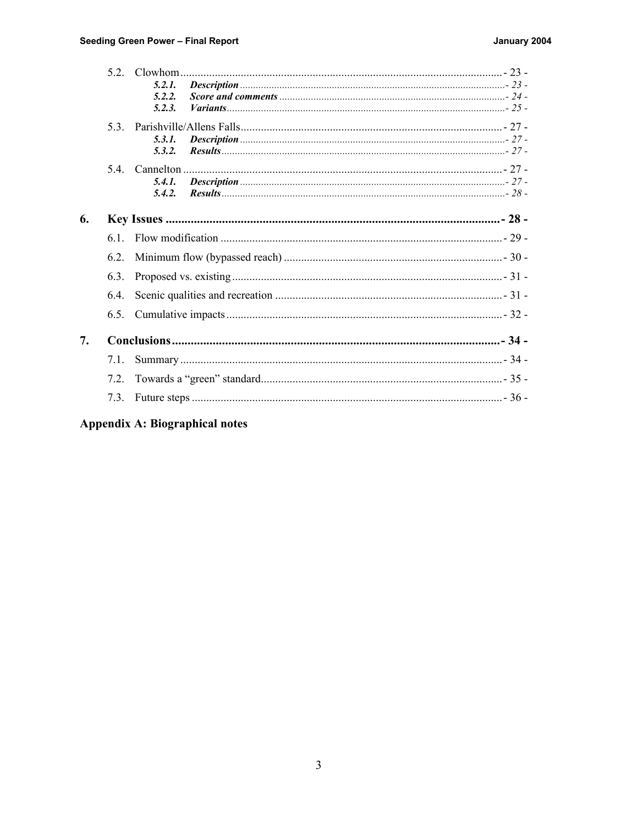|    |      | 5.2.1. |  |
|----|------|--------|--|
|    |      | 5.2.2. |  |
|    |      | 5.2.3. |  |
|    | 53   |        |  |
|    |      | 5.3.1. |  |
|    |      | 5.3.2. |  |
|    |      |        |  |
|    |      | 5.4.1. |  |
|    |      | 5.4.2. |  |
|    |      |        |  |
| 6. |      |        |  |
|    | 61   |        |  |
|    | 6.2. |        |  |
|    | 6.3. |        |  |
|    | 6.4. |        |  |
|    | 6.5. |        |  |
| 7. |      |        |  |
|    |      |        |  |
|    | 7.1. |        |  |
|    | 7.2. |        |  |
|    | 7.3. |        |  |
|    |      |        |  |

# Appendix A: Biographical notes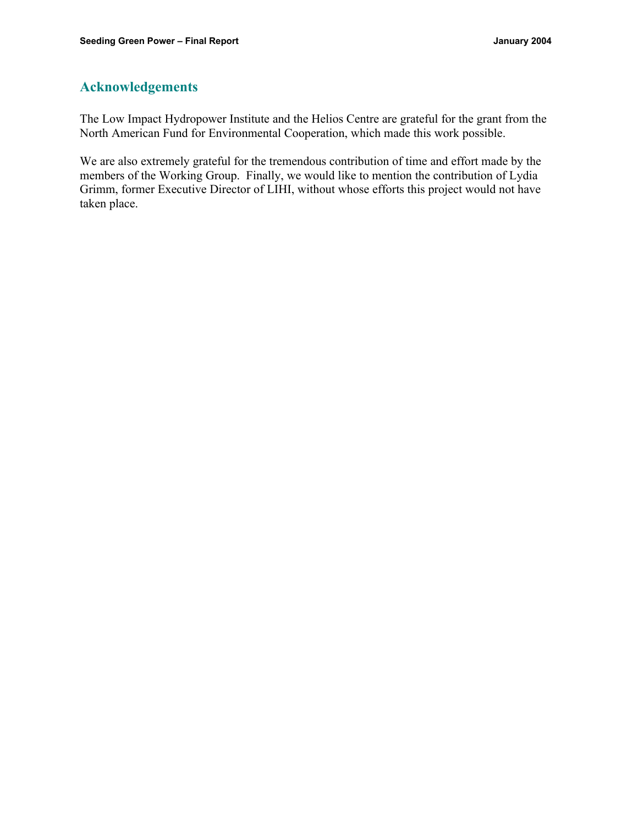# **Acknowledgements**

The Low Impact Hydropower Institute and the Helios Centre are grateful for the grant from the North American Fund for Environmental Cooperation, which made this work possible.

We are also extremely grateful for the tremendous contribution of time and effort made by the members of the Working Group. Finally, we would like to mention the contribution of Lydia Grimm, former Executive Director of LIHI, without whose efforts this project would not have taken place.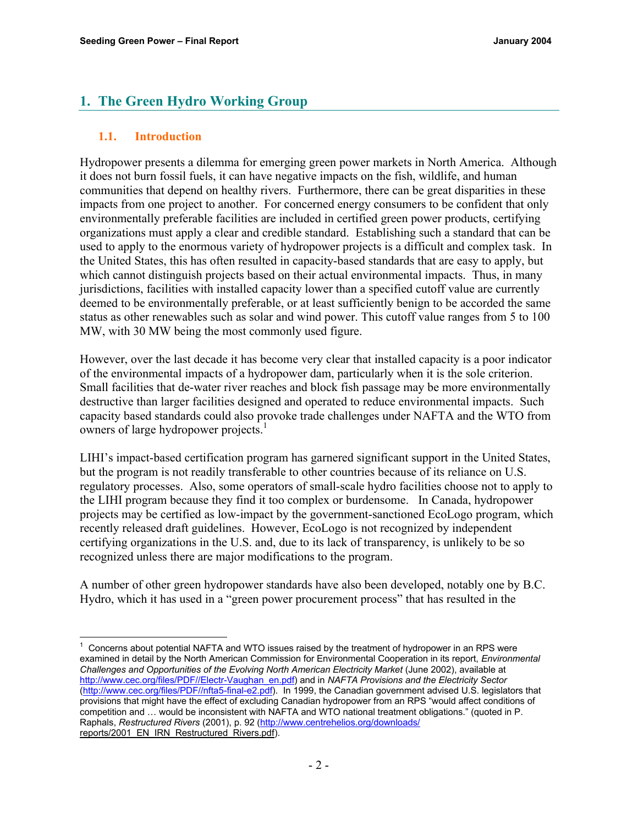# **1. The Green Hydro Working Group**

### **1.1. Introduction**

l

Hydropower presents a dilemma for emerging green power markets in North America. Although it does not burn fossil fuels, it can have negative impacts on the fish, wildlife, and human communities that depend on healthy rivers. Furthermore, there can be great disparities in these impacts from one project to another. For concerned energy consumers to be confident that only environmentally preferable facilities are included in certified green power products, certifying organizations must apply a clear and credible standard. Establishing such a standard that can be used to apply to the enormous variety of hydropower projects is a difficult and complex task. In the United States, this has often resulted in capacity-based standards that are easy to apply, but which cannot distinguish projects based on their actual environmental impacts. Thus, in many jurisdictions, facilities with installed capacity lower than a specified cutoff value are currently deemed to be environmentally preferable, or at least sufficiently benign to be accorded the same status as other renewables such as solar and wind power. This cutoff value ranges from 5 to 100 MW, with 30 MW being the most commonly used figure.

However, over the last decade it has become very clear that installed capacity is a poor indicator of the environmental impacts of a hydropower dam, particularly when it is the sole criterion. Small facilities that de-water river reaches and block fish passage may be more environmentally destructive than larger facilities designed and operated to reduce environmental impacts. Such capacity based standards could also provoke trade challenges under NAFTA and the WTO from owners of large hydropower projects.<sup>1</sup>

LIHI's impact-based certification program has garnered significant support in the United States, but the program is not readily transferable to other countries because of its reliance on U.S. regulatory processes. Also, some operators of small-scale hydro facilities choose not to apply to the LIHI program because they find it too complex or burdensome. In Canada, hydropower projects may be certified as low-impact by the government-sanctioned EcoLogo program, which recently released draft guidelines. However, EcoLogo is not recognized by independent certifying organizations in the U.S. and, due to its lack of transparency, is unlikely to be so recognized unless there are major modifications to the program.

A number of other green hydropower standards have also been developed, notably one by B.C. Hydro, which it has used in a "green power procurement process" that has resulted in the

<sup>1</sup> Concerns about potential NAFTA and WTO issues raised by the treatment of hydropower in an RPS were examined in detail by the North American Commission for Environmental Cooperation in its report, *Environmental Challenges and Opportunities of the Evolving North American Electricity Market (June 2002), available at* http://www.cec.org/files/PDF//Electr-Vaughan\_en.pdf) and in *NAFTA Provisions and the Electricity Sector*  (http://www.cec.org/files/PDF//nfta5-final-e2.pdf). In 1999, the Canadian government advised U.S. legislators that provisions that might have the effect of excluding Canadian hydropower from an RPS "would affect conditions of competition and … would be inconsistent with NAFTA and WTO national treatment obligations." (quoted in P. Raphals, *Restructured Rivers* (2001), p. 92 (http://www.centrehelios.org/downloads/ reports/2001\_EN\_IRN\_Restructured\_Rivers.pdf).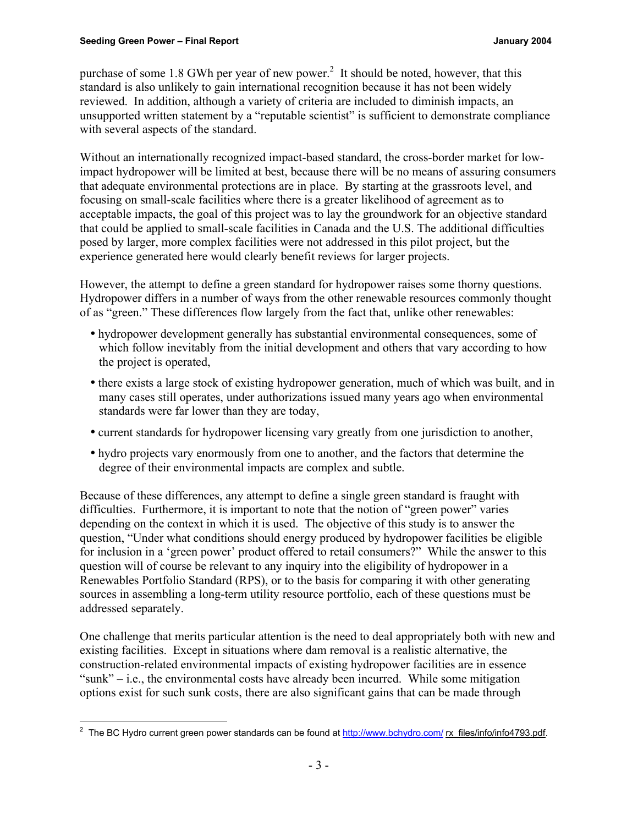purchase of some 1.8 GWh per year of new power.<sup>2</sup> It should be noted, however, that this standard is also unlikely to gain international recognition because it has not been widely reviewed. In addition, although a variety of criteria are included to diminish impacts, an unsupported written statement by a "reputable scientist" is sufficient to demonstrate compliance with several aspects of the standard.

Without an internationally recognized impact-based standard, the cross-border market for lowimpact hydropower will be limited at best, because there will be no means of assuring consumers that adequate environmental protections are in place. By starting at the grassroots level, and focusing on small-scale facilities where there is a greater likelihood of agreement as to acceptable impacts, the goal of this project was to lay the groundwork for an objective standard that could be applied to small-scale facilities in Canada and the U.S. The additional difficulties posed by larger, more complex facilities were not addressed in this pilot project, but the experience generated here would clearly benefit reviews for larger projects.

However, the attempt to define a green standard for hydropower raises some thorny questions. Hydropower differs in a number of ways from the other renewable resources commonly thought of as "green." These differences flow largely from the fact that, unlike other renewables:

- hydropower development generally has substantial environmental consequences, some of which follow inevitably from the initial development and others that vary according to how the project is operated,
- there exists a large stock of existing hydropower generation, much of which was built, and in many cases still operates, under authorizations issued many years ago when environmental standards were far lower than they are today,
- current standards for hydropower licensing vary greatly from one jurisdiction to another,
- hydro projects vary enormously from one to another, and the factors that determine the degree of their environmental impacts are complex and subtle.

Because of these differences, any attempt to define a single green standard is fraught with difficulties. Furthermore, it is important to note that the notion of "green power" varies depending on the context in which it is used. The objective of this study is to answer the question, "Under what conditions should energy produced by hydropower facilities be eligible for inclusion in a 'green power' product offered to retail consumers?" While the answer to this question will of course be relevant to any inquiry into the eligibility of hydropower in a Renewables Portfolio Standard (RPS), or to the basis for comparing it with other generating sources in assembling a long-term utility resource portfolio, each of these questions must be addressed separately.

One challenge that merits particular attention is the need to deal appropriately both with new and existing facilities. Except in situations where dam removal is a realistic alternative, the construction-related environmental impacts of existing hydropower facilities are in essence "sunk"  $-i.e.,$  the environmental costs have already been incurred. While some mitigation options exist for such sunk costs, there are also significant gains that can be made through

<sup>&</sup>lt;u>2</u><br><sup>2</sup> The BC Hydro current green power standards can be found at <u>http://www.bchydro.com/</u> rx\_files/info/info4793.pdf.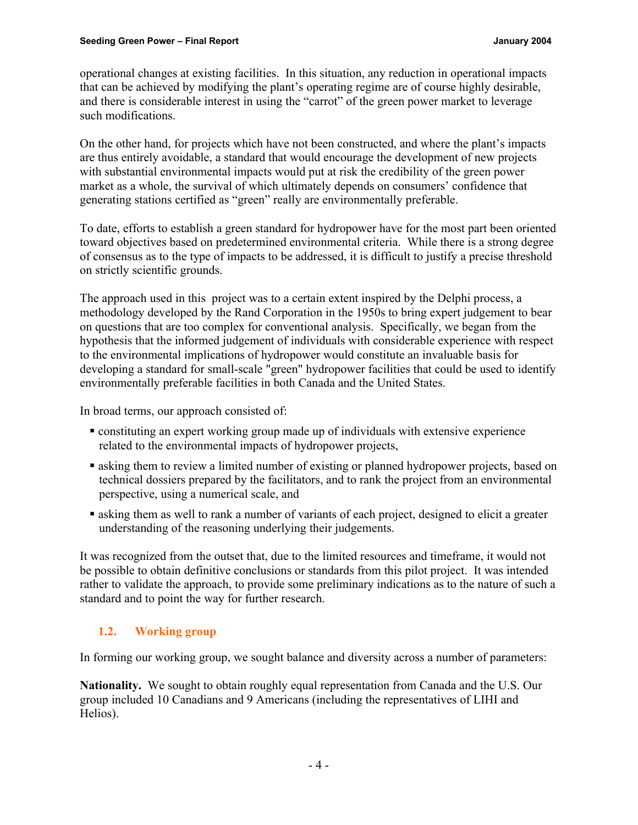operational changes at existing facilities. In this situation, any reduction in operational impacts that can be achieved by modifying the plant's operating regime are of course highly desirable, and there is considerable interest in using the "carrot" of the green power market to leverage such modifications.

On the other hand, for projects which have not been constructed, and where the plant's impacts are thus entirely avoidable, a standard that would encourage the development of new projects with substantial environmental impacts would put at risk the credibility of the green power market as a whole, the survival of which ultimately depends on consumers' confidence that generating stations certified as "green" really are environmentally preferable.

To date, efforts to establish a green standard for hydropower have for the most part been oriented toward objectives based on predetermined environmental criteria. While there is a strong degree of consensus as to the type of impacts to be addressed, it is difficult to justify a precise threshold on strictly scientific grounds.

The approach used in this project was to a certain extent inspired by the Delphi process, a methodology developed by the Rand Corporation in the 1950s to bring expert judgement to bear on questions that are too complex for conventional analysis. Specifically, we began from the hypothesis that the informed judgement of individuals with considerable experience with respect to the environmental implications of hydropower would constitute an invaluable basis for developing a standard for small-scale "green" hydropower facilities that could be used to identify environmentally preferable facilities in both Canada and the United States.

In broad terms, our approach consisted of:

- ß constituting an expert working group made up of individuals with extensive experience related to the environmental impacts of hydropower projects,
- **Example 1** asking them to review a limited number of existing or planned hydropower projects, based on technical dossiers prepared by the facilitators, and to rank the project from an environmental perspective, using a numerical scale, and
- **Example 1** asking them as well to rank a number of variants of each project, designed to elicit a greater understanding of the reasoning underlying their judgements.

It was recognized from the outset that, due to the limited resources and timeframe, it would not be possible to obtain definitive conclusions or standards from this pilot project. It was intended rather to validate the approach, to provide some preliminary indications as to the nature of such a standard and to point the way for further research.

# **1.2. Working group**

In forming our working group, we sought balance and diversity across a number of parameters:

**Nationality.** We sought to obtain roughly equal representation from Canada and the U.S. Our group included 10 Canadians and 9 Americans (including the representatives of LIHI and Helios).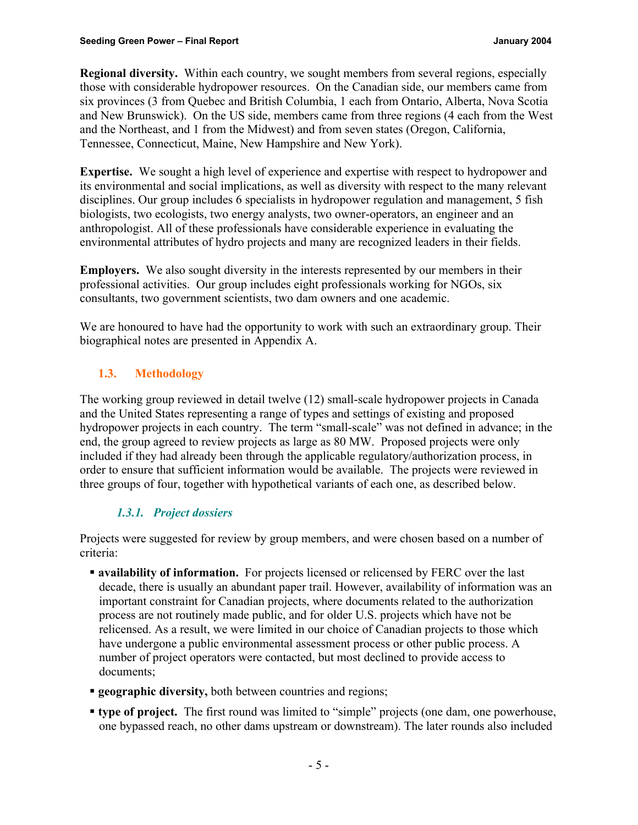**Regional diversity.** Within each country, we sought members from several regions, especially those with considerable hydropower resources. On the Canadian side, our members came from six provinces (3 from Quebec and British Columbia, 1 each from Ontario, Alberta, Nova Scotia and New Brunswick). On the US side, members came from three regions (4 each from the West and the Northeast, and 1 from the Midwest) and from seven states (Oregon, California, Tennessee, Connecticut, Maine, New Hampshire and New York).

**Expertise.** We sought a high level of experience and expertise with respect to hydropower and its environmental and social implications, as well as diversity with respect to the many relevant disciplines. Our group includes 6 specialists in hydropower regulation and management, 5 fish biologists, two ecologists, two energy analysts, two owner-operators, an engineer and an anthropologist. All of these professionals have considerable experience in evaluating the environmental attributes of hydro projects and many are recognized leaders in their fields.

**Employers.** We also sought diversity in the interests represented by our members in their professional activities. Our group includes eight professionals working for NGOs, six consultants, two government scientists, two dam owners and one academic.

We are honoured to have had the opportunity to work with such an extraordinary group. Their biographical notes are presented in Appendix A.

# **1.3. Methodology**

The working group reviewed in detail twelve (12) small-scale hydropower projects in Canada and the United States representing a range of types and settings of existing and proposed hydropower projects in each country. The term "small-scale" was not defined in advance; in the end, the group agreed to review projects as large as 80 MW. Proposed projects were only included if they had already been through the applicable regulatory/authorization process, in order to ensure that sufficient information would be available. The projects were reviewed in three groups of four, together with hypothetical variants of each one, as described below.

# *1.3.1. Project dossiers*

Projects were suggested for review by group members, and were chosen based on a number of criteria:

- **availability of information.** For projects licensed or relicensed by FERC over the last decade, there is usually an abundant paper trail. However, availability of information was an important constraint for Canadian projects, where documents related to the authorization process are not routinely made public, and for older U.S. projects which have not be relicensed. As a result, we were limited in our choice of Canadian projects to those which have undergone a public environmental assessment process or other public process. A number of project operators were contacted, but most declined to provide access to documents;
- **geographic diversity,** both between countries and regions;
- ß **type of project.** The first round was limited to "simple" projects (one dam, one powerhouse, one bypassed reach, no other dams upstream or downstream). The later rounds also included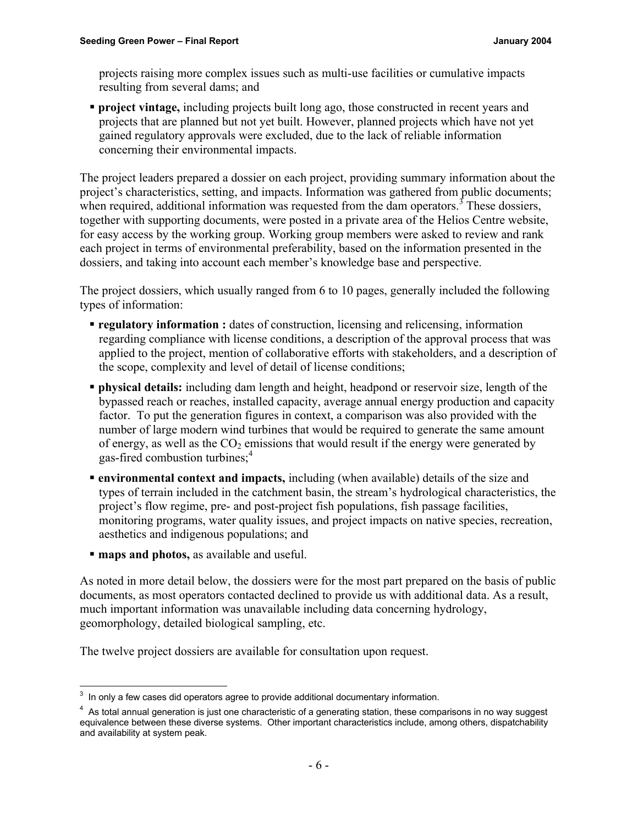projects raising more complex issues such as multi-use facilities or cumulative impacts resulting from several dams; and

**• project vintage,** including projects built long ago, those constructed in recent years and projects that are planned but not yet built. However, planned projects which have not yet gained regulatory approvals were excluded, due to the lack of reliable information concerning their environmental impacts.

The project leaders prepared a dossier on each project, providing summary information about the project's characteristics, setting, and impacts. Information was gathered from public documents; when required, additional information was requested from the dam operators.<sup>3</sup> These dossiers, together with supporting documents, were posted in a private area of the Helios Centre website, for easy access by the working group. Working group members were asked to review and rank each project in terms of environmental preferability, based on the information presented in the dossiers, and taking into account each member's knowledge base and perspective.

The project dossiers, which usually ranged from 6 to 10 pages, generally included the following types of information:

- **regulatory information :** dates of construction, licensing and relicensing, information regarding compliance with license conditions, a description of the approval process that was applied to the project, mention of collaborative efforts with stakeholders, and a description of the scope, complexity and level of detail of license conditions;
- **physical details:** including dam length and height, headpond or reservoir size, length of the bypassed reach or reaches, installed capacity, average annual energy production and capacity factor. To put the generation figures in context, a comparison was also provided with the number of large modern wind turbines that would be required to generate the same amount of energy, as well as the  $CO<sub>2</sub>$  emissions that would result if the energy were generated by gas-fired combustion turbines;<sup>4</sup>
- ß **environmental context and impacts,** including (when available) details of the size and types of terrain included in the catchment basin, the stream's hydrological characteristics, the project's flow regime, pre- and post-project fish populations, fish passage facilities, monitoring programs, water quality issues, and project impacts on native species, recreation, aesthetics and indigenous populations; and
- **maps and photos, as available and useful.**

As noted in more detail below, the dossiers were for the most part prepared on the basis of public documents, as most operators contacted declined to provide us with additional data. As a result, much important information was unavailable including data concerning hydrology, geomorphology, detailed biological sampling, etc.

The twelve project dossiers are available for consultation upon request.

  $3$  In only a few cases did operators agree to provide additional documentary information.

<sup>&</sup>lt;sup>4</sup> As total annual generation is just one characteristic of a generating station, these comparisons in no way suggest equivalence between these diverse systems. Other important characteristics include, among others, dispatchability and availability at system peak.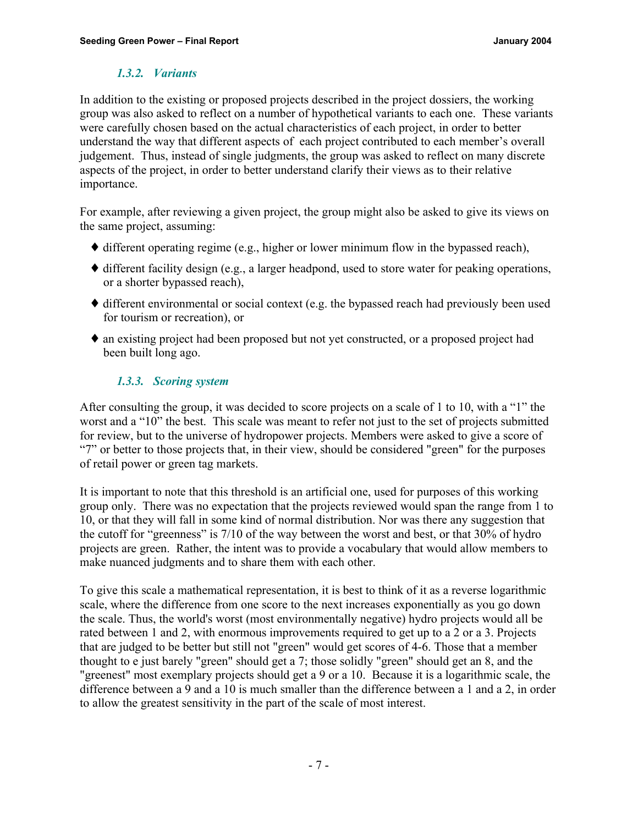# *1.3.2. Variants*

In addition to the existing or proposed projects described in the project dossiers, the working group was also asked to reflect on a number of hypothetical variants to each one. These variants were carefully chosen based on the actual characteristics of each project, in order to better understand the way that different aspects of each project contributed to each member's overall judgement. Thus, instead of single judgments, the group was asked to reflect on many discrete aspects of the project, in order to better understand clarify their views as to their relative importance.

For example, after reviewing a given project, the group might also be asked to give its views on the same project, assuming:

- $\blacklozenge$  different operating regime (e.g., higher or lower minimum flow in the bypassed reach),
- ♦ different facility design (e.g., a larger headpond, used to store water for peaking operations, or a shorter bypassed reach),
- ♦ different environmental or social context (e.g. the bypassed reach had previously been used for tourism or recreation), or
- ♦ an existing project had been proposed but not yet constructed, or a proposed project had been built long ago.

# *1.3.3. Scoring system*

After consulting the group, it was decided to score projects on a scale of 1 to 10, with a "1" the worst and a "10" the best. This scale was meant to refer not just to the set of projects submitted for review, but to the universe of hydropower projects. Members were asked to give a score of "7" or better to those projects that, in their view, should be considered "green" for the purposes of retail power or green tag markets.

It is important to note that this threshold is an artificial one, used for purposes of this working group only. There was no expectation that the projects reviewed would span the range from 1 to 10, or that they will fall in some kind of normal distribution. Nor was there any suggestion that the cutoff for "greenness" is 7/10 of the way between the worst and best, or that 30% of hydro projects are green. Rather, the intent was to provide a vocabulary that would allow members to make nuanced judgments and to share them with each other.

To give this scale a mathematical representation, it is best to think of it as a reverse logarithmic scale, where the difference from one score to the next increases exponentially as you go down the scale. Thus, the world's worst (most environmentally negative) hydro projects would all be rated between 1 and 2, with enormous improvements required to get up to a 2 or a 3. Projects that are judged to be better but still not "green" would get scores of 4-6. Those that a member thought to e just barely "green" should get a 7; those solidly "green" should get an 8, and the "greenest" most exemplary projects should get a 9 or a 10. Because it is a logarithmic scale, the difference between a 9 and a 10 is much smaller than the difference between a 1 and a 2, in order to allow the greatest sensitivity in the part of the scale of most interest.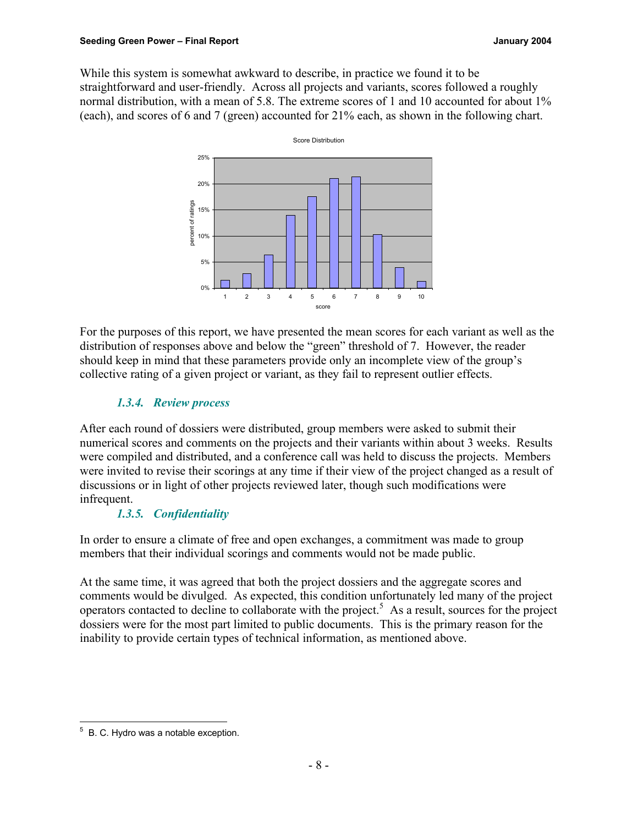While this system is somewhat awkward to describe, in practice we found it to be straightforward and user-friendly. Across all projects and variants, scores followed a roughly normal distribution, with a mean of 5.8. The extreme scores of 1 and 10 accounted for about 1% (each), and scores of 6 and 7 (green) accounted for 21% each, as shown in the following chart.



For the purposes of this report, we have presented the mean scores for each variant as well as the distribution of responses above and below the "green" threshold of 7. However, the reader should keep in mind that these parameters provide only an incomplete view of the group's collective rating of a given project or variant, as they fail to represent outlier effects.

# *1.3.4. Review process*

After each round of dossiers were distributed, group members were asked to submit their numerical scores and comments on the projects and their variants within about 3 weeks. Results were compiled and distributed, and a conference call was held to discuss the projects. Members were invited to revise their scorings at any time if their view of the project changed as a result of discussions or in light of other projects reviewed later, though such modifications were infrequent.

# *1.3.5. Confidentiality*

In order to ensure a climate of free and open exchanges, a commitment was made to group members that their individual scorings and comments would not be made public.

At the same time, it was agreed that both the project dossiers and the aggregate scores and comments would be divulged. As expected, this condition unfortunately led many of the project operators contacted to decline to collaborate with the project.<sup>5</sup> As a result, sources for the project dossiers were for the most part limited to public documents. This is the primary reason for the inability to provide certain types of technical information, as mentioned above.

 5 B. C. Hydro was a notable exception.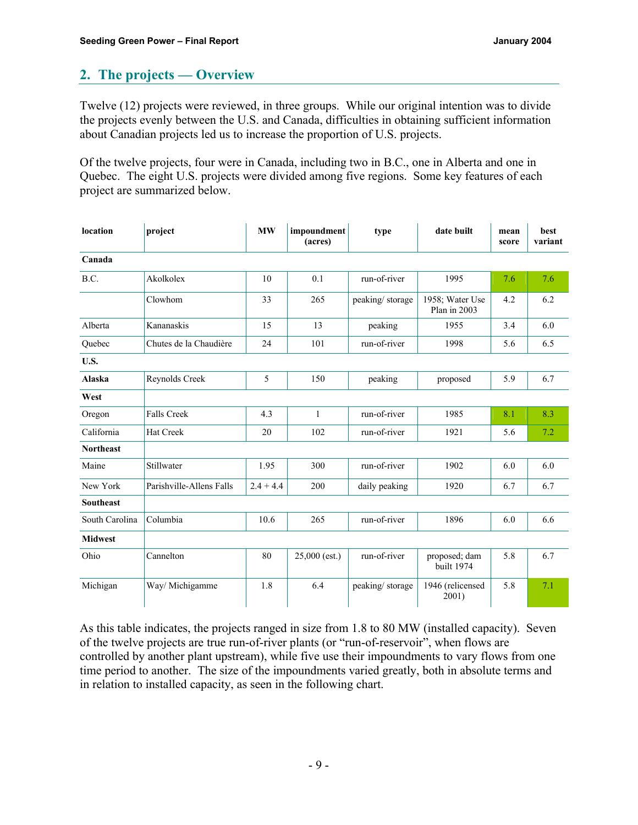# **2. The projects — Overview**

Twelve (12) projects were reviewed, in three groups. While our original intention was to divide the projects evenly between the U.S. and Canada, difficulties in obtaining sufficient information about Canadian projects led us to increase the proportion of U.S. projects.

Of the twelve projects, four were in Canada, including two in B.C., one in Alberta and one in Quebec. The eight U.S. projects were divided among five regions. Some key features of each project are summarized below.

| location         | project                  | <b>MW</b>   | impoundment<br>(acres) | type            | date built                      | mean<br>score | best<br>variant |
|------------------|--------------------------|-------------|------------------------|-----------------|---------------------------------|---------------|-----------------|
| Canada           |                          |             |                        |                 |                                 |               |                 |
| B.C.             | Akolkolex                | 10          | 0.1                    | run-of-river    | 1995                            | 7.6           | 7.6             |
|                  | Clowhom                  | 33          | 265                    | peaking/storage | 1958; Water Use<br>Plan in 2003 | 4.2           | 6.2             |
| Alberta          | Kananaskis               | 15          | 13                     | peaking         | 1955                            | 3.4           | 6.0             |
| Quebec           | Chutes de la Chaudière   | 24          | 101                    | run-of-river    | 1998                            | 5.6           | 6.5             |
| U.S.             |                          |             |                        |                 |                                 |               |                 |
| <b>Alaska</b>    | Reynolds Creek           | 5           | 150                    | peaking         | proposed                        | 5.9           | 6.7             |
| West             |                          |             |                        |                 |                                 |               |                 |
| Oregon           | <b>Falls Creek</b>       | 4.3         | $\mathbf{1}$           | run-of-river    | 1985                            | 8.1           | 8.3             |
| California       | <b>Hat Creek</b>         | 20          | 102                    | run-of-river    | 1921                            | 5.6           | 7.2             |
| <b>Northeast</b> |                          |             |                        |                 |                                 |               |                 |
| Maine            | Stillwater               | 1.95        | 300                    | run-of-river    | 1902                            | 6.0           | 6.0             |
| New York         | Parishville-Allens Falls | $2.4 + 4.4$ | 200                    | daily peaking   | 1920                            | 6.7           | 6.7             |
| <b>Southeast</b> |                          |             |                        |                 |                                 |               |                 |
| South Carolina   | Columbia                 | 10.6        | 265                    | run-of-river    | 1896                            | 6.0           | 6.6             |
| <b>Midwest</b>   |                          |             |                        |                 |                                 |               |                 |
| Ohio             | Cannelton                | 80          | $25,000$ (est.)        | run-of-river    | proposed; dam<br>built 1974     | 5.8           | 6.7             |
| Michigan         | Way/ Michigamme          | 1.8         | 6.4                    | peaking/storage | 1946 (relicensed<br>2001)       | 5.8           | 7.1             |

As this table indicates, the projects ranged in size from 1.8 to 80 MW (installed capacity). Seven of the twelve projects are true run-of-river plants (or "run-of-reservoir", when flows are controlled by another plant upstream), while five use their impoundments to vary flows from one time period to another. The size of the impoundments varied greatly, both in absolute terms and in relation to installed capacity, as seen in the following chart.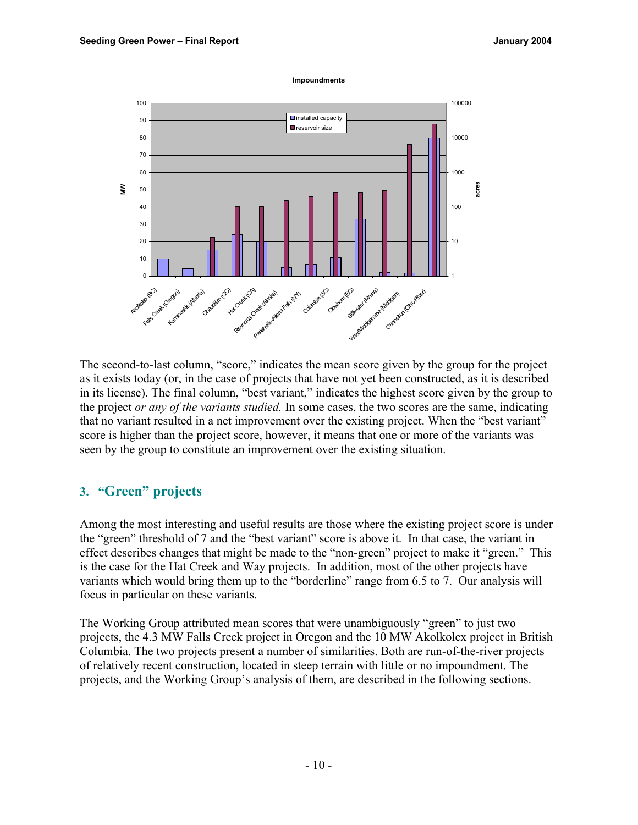#### **Impoundments**



The second-to-last column, "score," indicates the mean score given by the group for the project as it exists today (or, in the case of projects that have not yet been constructed, as it is described in its license). The final column, "best variant," indicates the highest score given by the group to the project *or any of the variants studied.* In some cases, the two scores are the same, indicating that no variant resulted in a net improvement over the existing project. When the "best variant" score is higher than the project score, however, it means that one or more of the variants was seen by the group to constitute an improvement over the existing situation.

# **3. "Green" projects**

Among the most interesting and useful results are those where the existing project score is under the "green" threshold of 7 and the "best variant" score is above it. In that case, the variant in effect describes changes that might be made to the "non-green" project to make it "green." This is the case for the Hat Creek and Way projects. In addition, most of the other projects have variants which would bring them up to the "borderline" range from 6.5 to 7. Our analysis will focus in particular on these variants.

The Working Group attributed mean scores that were unambiguously "green" to just two projects, the 4.3 MW Falls Creek project in Oregon and the 10 MW Akolkolex project in British Columbia. The two projects present a number of similarities. Both are run-of-the-river projects of relatively recent construction, located in steep terrain with little or no impoundment. The projects, and the Working Group's analysis of them, are described in the following sections.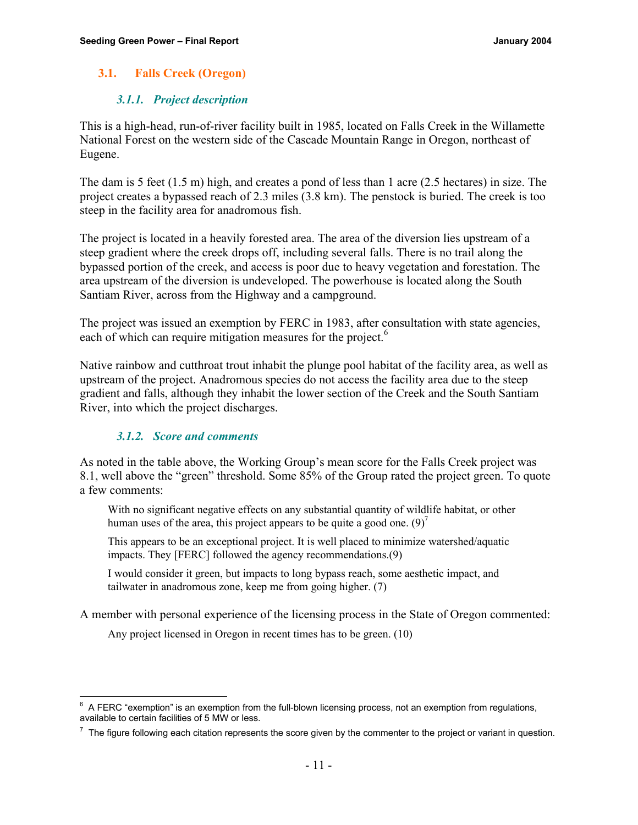# **3.1. Falls Creek (Oregon)**

# *3.1.1. Project description*

This is a high-head, run-of-river facility built in 1985, located on Falls Creek in the Willamette National Forest on the western side of the Cascade Mountain Range in Oregon, northeast of Eugene.

The dam is 5 feet (1.5 m) high, and creates a pond of less than 1 acre (2.5 hectares) in size. The project creates a bypassed reach of 2.3 miles (3.8 km). The penstock is buried. The creek is too steep in the facility area for anadromous fish.

The project is located in a heavily forested area. The area of the diversion lies upstream of a steep gradient where the creek drops off, including several falls. There is no trail along the bypassed portion of the creek, and access is poor due to heavy vegetation and forestation. The area upstream of the diversion is undeveloped. The powerhouse is located along the South Santiam River, across from the Highway and a campground.

The project was issued an exemption by FERC in 1983, after consultation with state agencies, each of which can require mitigation measures for the project.<sup>6</sup>

Native rainbow and cutthroat trout inhabit the plunge pool habitat of the facility area, as well as upstream of the project. Anadromous species do not access the facility area due to the steep gradient and falls, although they inhabit the lower section of the Creek and the South Santiam River, into which the project discharges.

# *3.1.2. Score and comments*

As noted in the table above, the Working Group's mean score for the Falls Creek project was 8.1, well above the "green" threshold. Some 85% of the Group rated the project green. To quote a few comments:

With no significant negative effects on any substantial quantity of wildlife habitat, or other human uses of the area, this project appears to be quite a good one.  $(9)^{7}$ 

This appears to be an exceptional project. It is well placed to minimize watershed/aquatic impacts. They [FERC] followed the agency recommendations.(9)

I would consider it green, but impacts to long bypass reach, some aesthetic impact, and tailwater in anadromous zone, keep me from going higher. (7)

A member with personal experience of the licensing process in the State of Oregon commented:

Any project licensed in Oregon in recent times has to be green. (10)

<sup>————————————————————&</sup>lt;br><sup>6</sup> A FERC "exemption" is an exemption from the full-blown licensing process, not an exemption from regulations, available to certain facilities of 5 MW or less.

 $<sup>7</sup>$  The figure following each citation represents the score given by the commenter to the project or variant in question.</sup>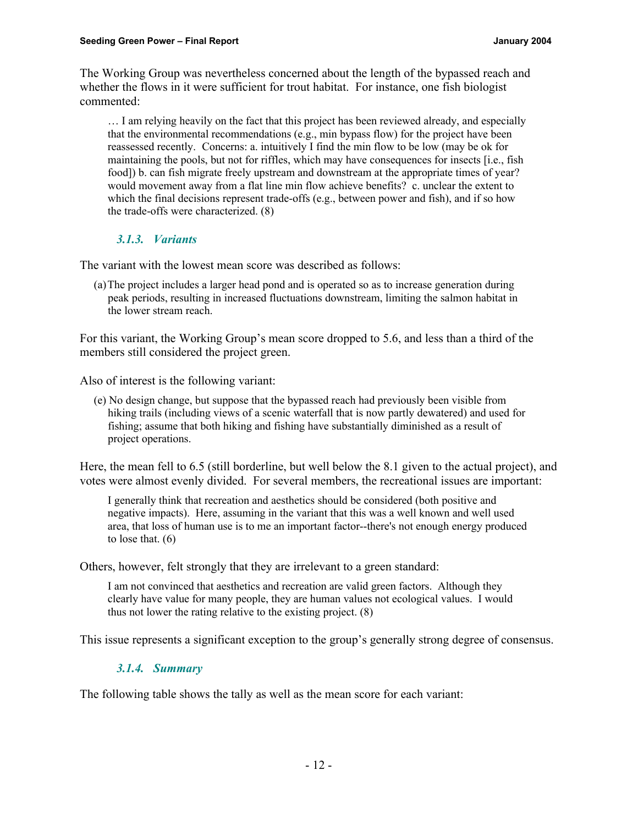The Working Group was nevertheless concerned about the length of the bypassed reach and whether the flows in it were sufficient for trout habitat. For instance, one fish biologist commented:

… I am relying heavily on the fact that this project has been reviewed already, and especially that the environmental recommendations (e.g., min bypass flow) for the project have been reassessed recently. Concerns: a. intuitively I find the min flow to be low (may be ok for maintaining the pools, but not for riffles, which may have consequences for insects [i.e., fish food]) b. can fish migrate freely upstream and downstream at the appropriate times of year? would movement away from a flat line min flow achieve benefits? c. unclear the extent to which the final decisions represent trade-offs (e.g., between power and fish), and if so how the trade-offs were characterized. (8)

# *3.1.3. Variants*

The variant with the lowest mean score was described as follows:

(a)The project includes a larger head pond and is operated so as to increase generation during peak periods, resulting in increased fluctuations downstream, limiting the salmon habitat in the lower stream reach.

For this variant, the Working Group's mean score dropped to 5.6, and less than a third of the members still considered the project green.

Also of interest is the following variant:

(e) No design change, but suppose that the bypassed reach had previously been visible from hiking trails (including views of a scenic waterfall that is now partly dewatered) and used for fishing; assume that both hiking and fishing have substantially diminished as a result of project operations.

Here, the mean fell to 6.5 (still borderline, but well below the 8.1 given to the actual project), and votes were almost evenly divided. For several members, the recreational issues are important:

I generally think that recreation and aesthetics should be considered (both positive and negative impacts). Here, assuming in the variant that this was a well known and well used area, that loss of human use is to me an important factor--there's not enough energy produced to lose that. (6)

Others, however, felt strongly that they are irrelevant to a green standard:

I am not convinced that aesthetics and recreation are valid green factors. Although they clearly have value for many people, they are human values not ecological values. I would thus not lower the rating relative to the existing project. (8)

This issue represents a significant exception to the group's generally strong degree of consensus.

# *3.1.4. Summary*

The following table shows the tally as well as the mean score for each variant: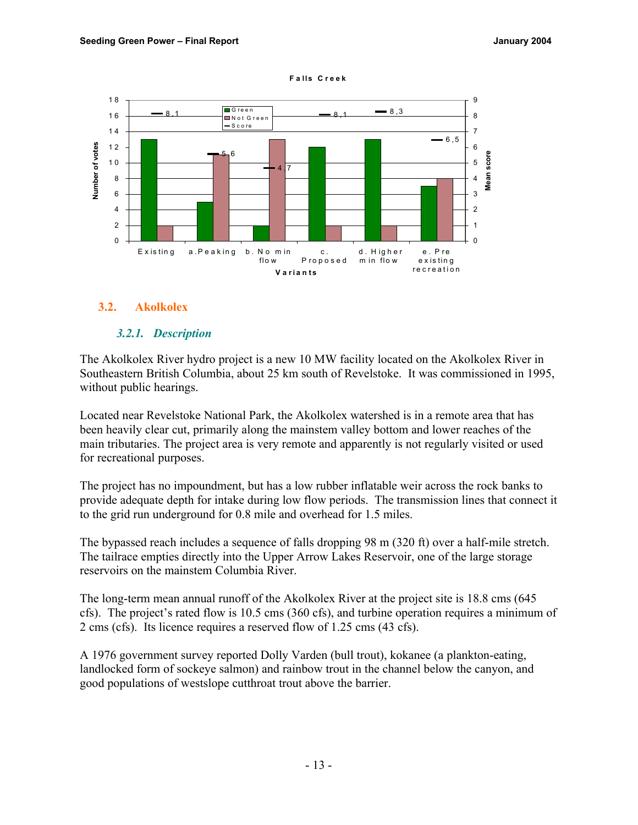

#### **F a lls C reek**

#### **3.2. Akolkolex**

#### *3.2.1. Description*

The Akolkolex River hydro project is a new 10 MW facility located on the Akolkolex River in Southeastern British Columbia, about 25 km south of Revelstoke. It was commissioned in 1995, without public hearings.

Located near Revelstoke National Park, the Akolkolex watershed is in a remote area that has been heavily clear cut, primarily along the mainstem valley bottom and lower reaches of the main tributaries. The project area is very remote and apparently is not regularly visited or used for recreational purposes.

The project has no impoundment, but has a low rubber inflatable weir across the rock banks to provide adequate depth for intake during low flow periods. The transmission lines that connect it to the grid run underground for 0.8 mile and overhead for 1.5 miles.

The bypassed reach includes a sequence of falls dropping 98 m (320 ft) over a half-mile stretch. The tailrace empties directly into the Upper Arrow Lakes Reservoir, one of the large storage reservoirs on the mainstem Columbia River.

The long-term mean annual runoff of the Akolkolex River at the project site is 18.8 cms (645 cfs). The project's rated flow is 10.5 cms (360 cfs), and turbine operation requires a minimum of 2 cms (cfs). Its licence requires a reserved flow of 1.25 cms (43 cfs).

A 1976 government survey reported Dolly Varden (bull trout), kokanee (a plankton-eating, landlocked form of sockeye salmon) and rainbow trout in the channel below the canyon, and good populations of westslope cutthroat trout above the barrier.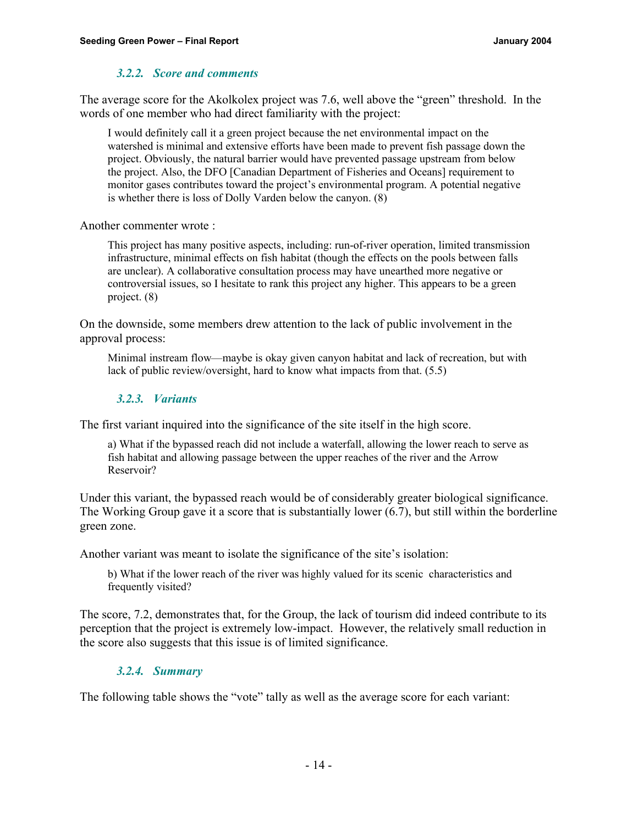### *3.2.2. Score and comments*

The average score for the Akolkolex project was 7.6, well above the "green" threshold. In the words of one member who had direct familiarity with the project:

I would definitely call it a green project because the net environmental impact on the watershed is minimal and extensive efforts have been made to prevent fish passage down the project. Obviously, the natural barrier would have prevented passage upstream from below the project. Also, the DFO [Canadian Department of Fisheries and Oceans] requirement to monitor gases contributes toward the project's environmental program. A potential negative is whether there is loss of Dolly Varden below the canyon. (8)

Another commenter wrote :

This project has many positive aspects, including: run-of-river operation, limited transmission infrastructure, minimal effects on fish habitat (though the effects on the pools between falls are unclear). A collaborative consultation process may have unearthed more negative or controversial issues, so I hesitate to rank this project any higher. This appears to be a green project. (8)

On the downside, some members drew attention to the lack of public involvement in the approval process:

Minimal instream flow—maybe is okay given canyon habitat and lack of recreation, but with lack of public review/oversight, hard to know what impacts from that. (5.5)

#### *3.2.3. Variants*

The first variant inquired into the significance of the site itself in the high score.

a) What if the bypassed reach did not include a waterfall, allowing the lower reach to serve as fish habitat and allowing passage between the upper reaches of the river and the Arrow Reservoir?

Under this variant, the bypassed reach would be of considerably greater biological significance. The Working Group gave it a score that is substantially lower (6.7), but still within the borderline green zone.

Another variant was meant to isolate the significance of the site's isolation:

b) What if the lower reach of the river was highly valued for its scenic characteristics and frequently visited?

The score, 7.2, demonstrates that, for the Group, the lack of tourism did indeed contribute to its perception that the project is extremely low-impact. However, the relatively small reduction in the score also suggests that this issue is of limited significance.

#### *3.2.4. Summary*

The following table shows the "vote" tally as well as the average score for each variant: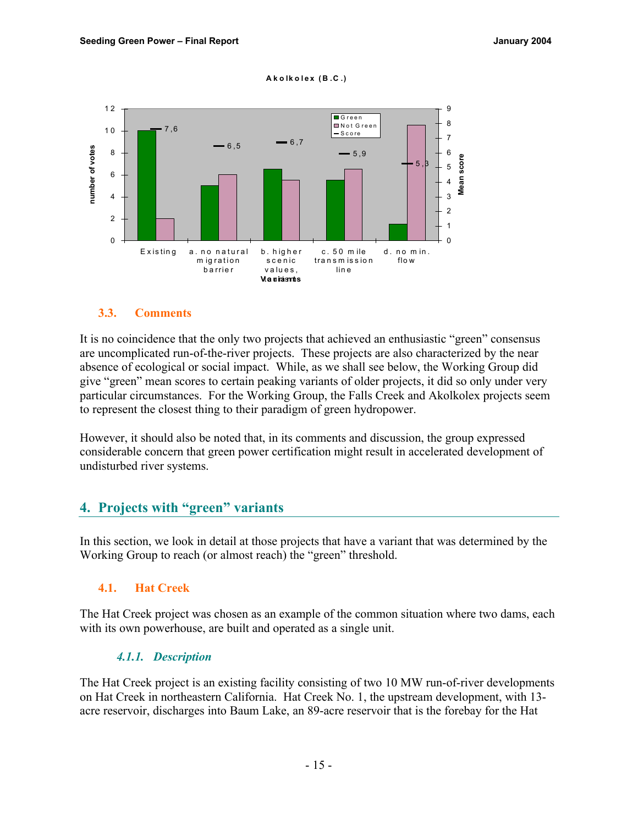#### **Ako lk o lex ( B .C .)**



#### **3.3. Comments**

It is no coincidence that the only two projects that achieved an enthusiastic "green" consensus are uncomplicated run-of-the-river projects. These projects are also characterized by the near absence of ecological or social impact. While, as we shall see below, the Working Group did give "green" mean scores to certain peaking variants of older projects, it did so only under very particular circumstances. For the Working Group, the Falls Creek and Akolkolex projects seem to represent the closest thing to their paradigm of green hydropower.

However, it should also be noted that, in its comments and discussion, the group expressed considerable concern that green power certification might result in accelerated development of undisturbed river systems.

# **4. Projects with "green" variants**

In this section, we look in detail at those projects that have a variant that was determined by the Working Group to reach (or almost reach) the "green" threshold.

#### **4.1. Hat Creek**

The Hat Creek project was chosen as an example of the common situation where two dams, each with its own powerhouse, are built and operated as a single unit.

#### *4.1.1. Description*

The Hat Creek project is an existing facility consisting of two 10 MW run-of-river developments on Hat Creek in northeastern California. Hat Creek No. 1, the upstream development, with 13 acre reservoir, discharges into Baum Lake, an 89-acre reservoir that is the forebay for the Hat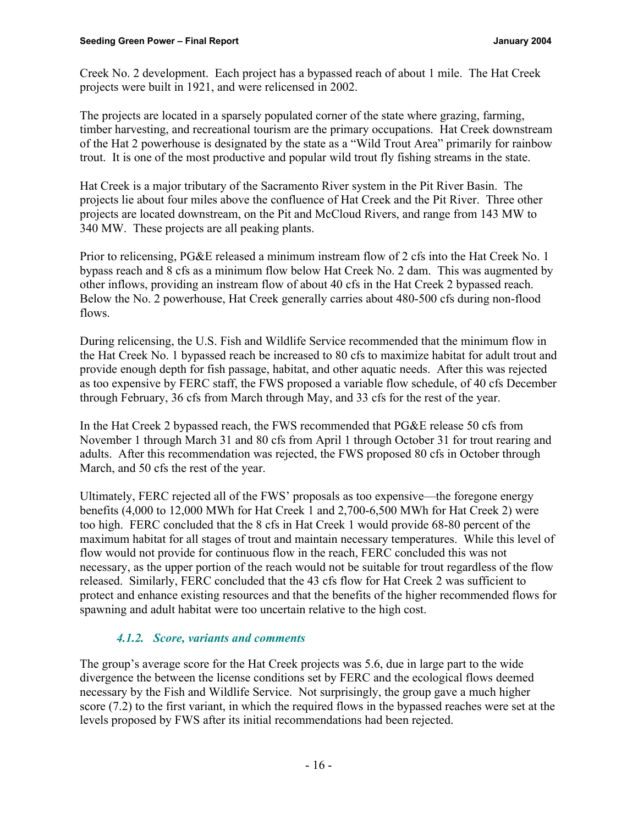Creek No. 2 development. Each project has a bypassed reach of about 1 mile. The Hat Creek projects were built in 1921, and were relicensed in 2002.

The projects are located in a sparsely populated corner of the state where grazing, farming, timber harvesting, and recreational tourism are the primary occupations. Hat Creek downstream of the Hat 2 powerhouse is designated by the state as a "Wild Trout Area" primarily for rainbow trout. It is one of the most productive and popular wild trout fly fishing streams in the state.

Hat Creek is a major tributary of the Sacramento River system in the Pit River Basin. The projects lie about four miles above the confluence of Hat Creek and the Pit River. Three other projects are located downstream, on the Pit and McCloud Rivers, and range from 143 MW to 340 MW. These projects are all peaking plants.

Prior to relicensing, PG&E released a minimum instream flow of 2 cfs into the Hat Creek No. 1 bypass reach and 8 cfs as a minimum flow below Hat Creek No. 2 dam. This was augmented by other inflows, providing an instream flow of about 40 cfs in the Hat Creek 2 bypassed reach. Below the No. 2 powerhouse, Hat Creek generally carries about 480-500 cfs during non-flood flows.

During relicensing, the U.S. Fish and Wildlife Service recommended that the minimum flow in the Hat Creek No. 1 bypassed reach be increased to 80 cfs to maximize habitat for adult trout and provide enough depth for fish passage, habitat, and other aquatic needs. After this was rejected as too expensive by FERC staff, the FWS proposed a variable flow schedule, of 40 cfs December through February, 36 cfs from March through May, and 33 cfs for the rest of the year.

In the Hat Creek 2 bypassed reach, the FWS recommended that PG&E release 50 cfs from November 1 through March 31 and 80 cfs from April 1 through October 31 for trout rearing and adults. After this recommendation was rejected, the FWS proposed 80 cfs in October through March, and 50 cfs the rest of the year.

Ultimately, FERC rejected all of the FWS' proposals as too expensive—the foregone energy benefits (4,000 to 12,000 MWh for Hat Creek 1 and 2,700-6,500 MWh for Hat Creek 2) were too high. FERC concluded that the 8 cfs in Hat Creek 1 would provide 68-80 percent of the maximum habitat for all stages of trout and maintain necessary temperatures. While this level of flow would not provide for continuous flow in the reach, FERC concluded this was not necessary, as the upper portion of the reach would not be suitable for trout regardless of the flow released. Similarly, FERC concluded that the 43 cfs flow for Hat Creek 2 was sufficient to protect and enhance existing resources and that the benefits of the higher recommended flows for spawning and adult habitat were too uncertain relative to the high cost.

# *4.1.2. Score, variants and comments*

The group's average score for the Hat Creek projects was 5.6, due in large part to the wide divergence the between the license conditions set by FERC and the ecological flows deemed necessary by the Fish and Wildlife Service. Not surprisingly, the group gave a much higher score (7.2) to the first variant, in which the required flows in the bypassed reaches were set at the levels proposed by FWS after its initial recommendations had been rejected.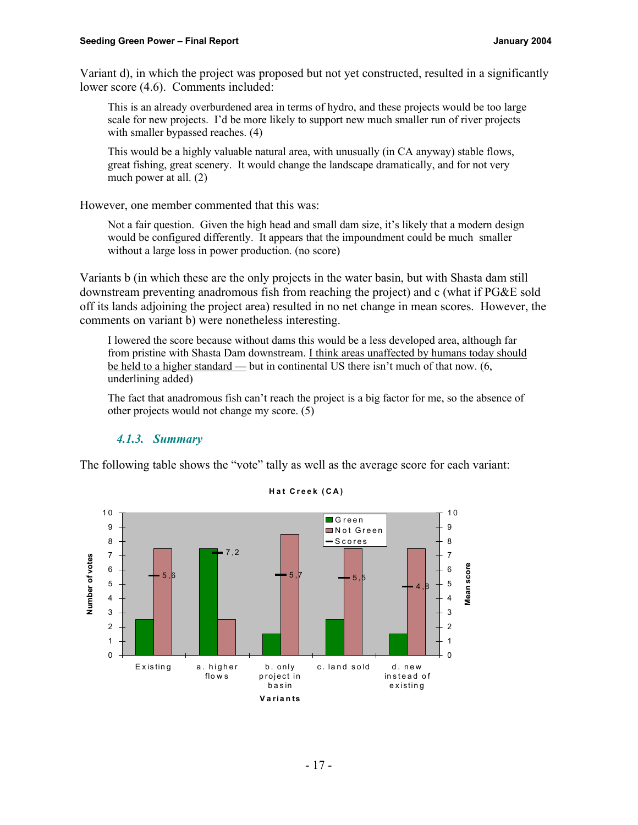Variant d), in which the project was proposed but not yet constructed, resulted in a significantly lower score (4.6). Comments included:

This is an already overburdened area in terms of hydro, and these projects would be too large scale for new projects. I'd be more likely to support new much smaller run of river projects with smaller bypassed reaches. (4)

This would be a highly valuable natural area, with unusually (in CA anyway) stable flows, great fishing, great scenery. It would change the landscape dramatically, and for not very much power at all. (2)

However, one member commented that this was:

Not a fair question. Given the high head and small dam size, it's likely that a modern design would be configured differently. It appears that the impoundment could be much smaller without a large loss in power production. (no score)

Variants b (in which these are the only projects in the water basin, but with Shasta dam still downstream preventing anadromous fish from reaching the project) and c (what if PG&E sold off its lands adjoining the project area) resulted in no net change in mean scores. However, the comments on variant b) were nonetheless interesting.

I lowered the score because without dams this would be a less developed area, although far from pristine with Shasta Dam downstream. I think areas unaffected by humans today should be held to a higher standard — but in continental US there isn't much of that now. (6, underlining added)

The fact that anadromous fish can't reach the project is a big factor for me, so the absence of other projects would not change my score. (5)

# *4.1.3. Summary*

The following table shows the "vote" tally as well as the average score for each variant:



**H a t Creek (CA)**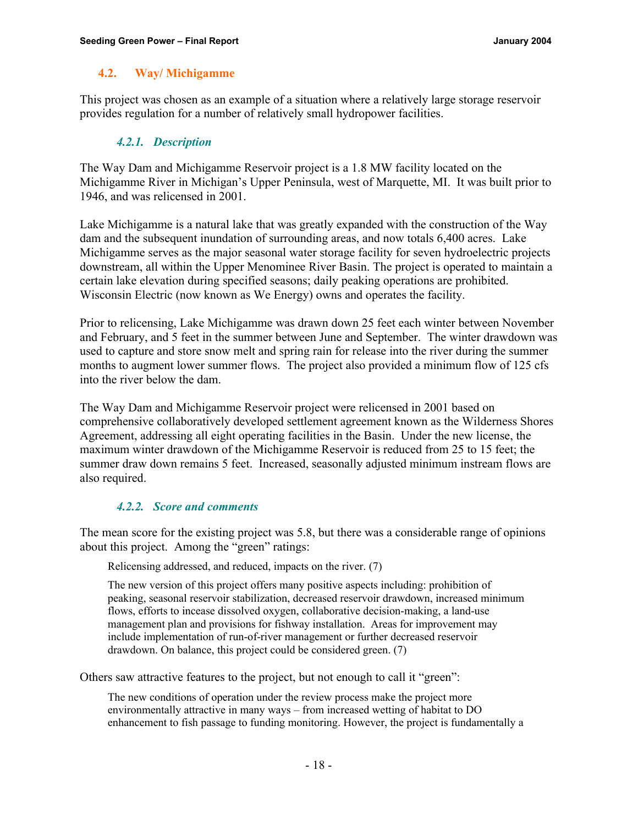### **4.2. Way/ Michigamme**

This project was chosen as an example of a situation where a relatively large storage reservoir provides regulation for a number of relatively small hydropower facilities.

### *4.2.1. Description*

The Way Dam and Michigamme Reservoir project is a 1.8 MW facility located on the Michigamme River in Michigan's Upper Peninsula, west of Marquette, MI. It was built prior to 1946, and was relicensed in 2001.

Lake Michigamme is a natural lake that was greatly expanded with the construction of the Way dam and the subsequent inundation of surrounding areas, and now totals 6,400 acres. Lake Michigamme serves as the major seasonal water storage facility for seven hydroelectric projects downstream, all within the Upper Menominee River Basin. The project is operated to maintain a certain lake elevation during specified seasons; daily peaking operations are prohibited. Wisconsin Electric (now known as We Energy) owns and operates the facility.

Prior to relicensing, Lake Michigamme was drawn down 25 feet each winter between November and February, and 5 feet in the summer between June and September. The winter drawdown was used to capture and store snow melt and spring rain for release into the river during the summer months to augment lower summer flows. The project also provided a minimum flow of 125 cfs into the river below the dam.

The Way Dam and Michigamme Reservoir project were relicensed in 2001 based on comprehensive collaboratively developed settlement agreement known as the Wilderness Shores Agreement, addressing all eight operating facilities in the Basin. Under the new license, the maximum winter drawdown of the Michigamme Reservoir is reduced from 25 to 15 feet; the summer draw down remains 5 feet. Increased, seasonally adjusted minimum instream flows are also required.

#### *4.2.2. Score and comments*

The mean score for the existing project was 5.8, but there was a considerable range of opinions about this project. Among the "green" ratings:

Relicensing addressed, and reduced, impacts on the river. (7)

The new version of this project offers many positive aspects including: prohibition of peaking, seasonal reservoir stabilization, decreased reservoir drawdown, increased minimum flows, efforts to incease dissolved oxygen, collaborative decision-making, a land-use management plan and provisions for fishway installation. Areas for improvement may include implementation of run-of-river management or further decreased reservoir drawdown. On balance, this project could be considered green. (7)

Others saw attractive features to the project, but not enough to call it "green":

The new conditions of operation under the review process make the project more environmentally attractive in many ways – from increased wetting of habitat to DO enhancement to fish passage to funding monitoring. However, the project is fundamentally a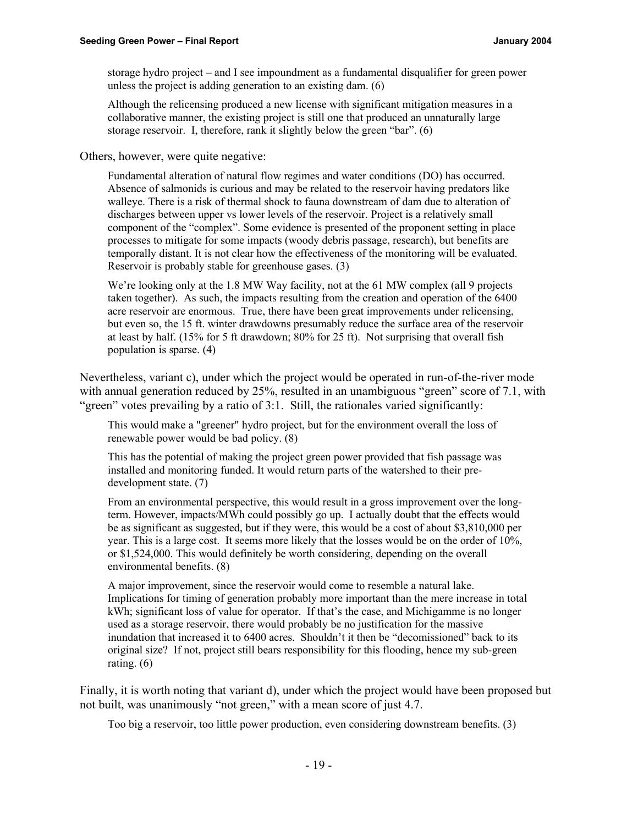storage hydro project – and I see impoundment as a fundamental disqualifier for green power unless the project is adding generation to an existing dam. (6)

Although the relicensing produced a new license with significant mitigation measures in a collaborative manner, the existing project is still one that produced an unnaturally large storage reservoir. I, therefore, rank it slightly below the green "bar". (6)

Others, however, were quite negative:

Fundamental alteration of natural flow regimes and water conditions (DO) has occurred. Absence of salmonids is curious and may be related to the reservoir having predators like walleye. There is a risk of thermal shock to fauna downstream of dam due to alteration of discharges between upper vs lower levels of the reservoir. Project is a relatively small component of the "complex". Some evidence is presented of the proponent setting in place processes to mitigate for some impacts (woody debris passage, research), but benefits are temporally distant. It is not clear how the effectiveness of the monitoring will be evaluated. Reservoir is probably stable for greenhouse gases. (3)

We're looking only at the 1.8 MW Way facility, not at the 61 MW complex (all 9 projects taken together). As such, the impacts resulting from the creation and operation of the 6400 acre reservoir are enormous. True, there have been great improvements under relicensing, but even so, the 15 ft. winter drawdowns presumably reduce the surface area of the reservoir at least by half. (15% for 5 ft drawdown; 80% for 25 ft). Not surprising that overall fish population is sparse. (4)

Nevertheless, variant c), under which the project would be operated in run-of-the-river mode with annual generation reduced by 25%, resulted in an unambiguous "green" score of 7.1, with "green" votes prevailing by a ratio of 3:1. Still, the rationales varied significantly:

This would make a "greener" hydro project, but for the environment overall the loss of renewable power would be bad policy. (8)

This has the potential of making the project green power provided that fish passage was installed and monitoring funded. It would return parts of the watershed to their predevelopment state. (7)

From an environmental perspective, this would result in a gross improvement over the longterm. However, impacts/MWh could possibly go up. I actually doubt that the effects would be as significant as suggested, but if they were, this would be a cost of about \$3,810,000 per year. This is a large cost. It seems more likely that the losses would be on the order of 10%, or \$1,524,000. This would definitely be worth considering, depending on the overall environmental benefits. (8)

A major improvement, since the reservoir would come to resemble a natural lake. Implications for timing of generation probably more important than the mere increase in total kWh; significant loss of value for operator. If that's the case, and Michigamme is no longer used as a storage reservoir, there would probably be no justification for the massive inundation that increased it to 6400 acres. Shouldn't it then be "decomissioned" back to its original size? If not, project still bears responsibility for this flooding, hence my sub-green rating. (6)

Finally, it is worth noting that variant d), under which the project would have been proposed but not built, was unanimously "not green," with a mean score of just 4.7.

Too big a reservoir, too little power production, even considering downstream benefits. (3)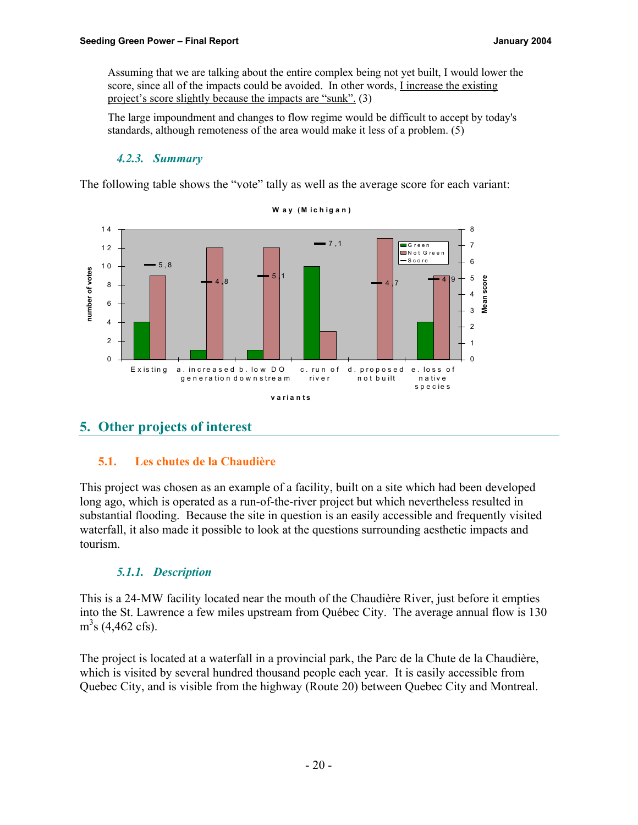Assuming that we are talking about the entire complex being not yet built, I would lower the score, since all of the impacts could be avoided. In other words, I increase the existing project's score slightly because the impacts are "sunk". (3)

The large impoundment and changes to flow regime would be difficult to accept by today's standards, although remoteness of the area would make it less of a problem. (5)

# *4.2.3. Summary*

The following table shows the "vote" tally as well as the average score for each variant:



**W ay ( M i c h igan)**

# **5. Other projects of interest**

# **5.1. Les chutes de la Chaudière**

This project was chosen as an example of a facility, built on a site which had been developed long ago, which is operated as a run-of-the-river project but which nevertheless resulted in substantial flooding. Because the site in question is an easily accessible and frequently visited waterfall, it also made it possible to look at the questions surrounding aesthetic impacts and tourism.

# *5.1.1. Description*

This is a 24-MW facility located near the mouth of the Chaudière River, just before it empties into the St. Lawrence a few miles upstream from Québec City. The average annual flow is 130  $m<sup>3</sup>s$  (4,462 cfs).

The project is located at a waterfall in a provincial park, the Parc de la Chute de la Chaudière, which is visited by several hundred thousand people each year. It is easily accessible from Quebec City, and is visible from the highway (Route 20) between Quebec City and Montreal.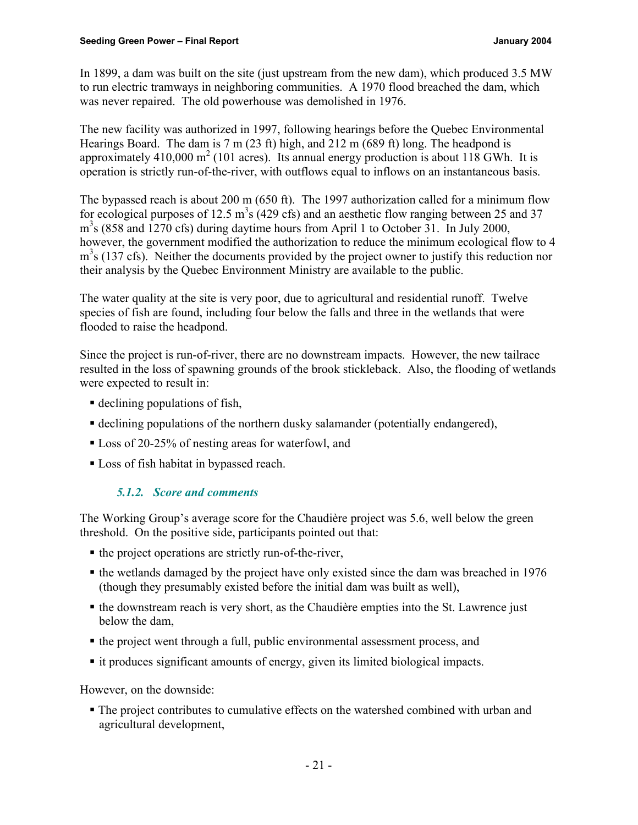In 1899, a dam was built on the site (just upstream from the new dam), which produced 3.5 MW to run electric tramways in neighboring communities. A 1970 flood breached the dam, which was never repaired. The old powerhouse was demolished in 1976.

The new facility was authorized in 1997, following hearings before the Quebec Environmental Hearings Board. The dam is 7 m (23 ft) high, and 212 m (689 ft) long. The headpond is approximately  $410,000 \text{ m}^2$  (101 acres). Its annual energy production is about 118 GWh. It is operation is strictly run-of-the-river, with outflows equal to inflows on an instantaneous basis.

The bypassed reach is about 200 m (650 ft). The 1997 authorization called for a minimum flow for ecological purposes of 12.5  $m^3s$  (429 cfs) and an aesthetic flow ranging between 25 and 37 m<sup>3</sup>s (858 and 1270 cfs) during daytime hours from April 1 to October 31. In July 2000, however, the government modified the authorization to reduce the minimum ecological flow to 4 m<sup>3</sup>s (137 cfs). Neither the documents provided by the project owner to justify this reduction nor their analysis by the Quebec Environment Ministry are available to the public.

The water quality at the site is very poor, due to agricultural and residential runoff. Twelve species of fish are found, including four below the falls and three in the wetlands that were flooded to raise the headpond.

Since the project is run-of-river, there are no downstream impacts. However, the new tailrace resulted in the loss of spawning grounds of the brook stickleback. Also, the flooding of wetlands were expected to result in:

- $\blacksquare$  declining populations of fish,
- ß declining populations of the northern dusky salamander (potentially endangered),
- Loss of 20-25% of nesting areas for waterfowl, and
- Loss of fish habitat in bypassed reach.

# *5.1.2. Score and comments*

The Working Group's average score for the Chaudière project was 5.6, well below the green threshold. On the positive side, participants pointed out that:

- $\blacksquare$  the project operations are strictly run-of-the-river,
- the wetlands damaged by the project have only existed since the dam was breached in 1976 (though they presumably existed before the initial dam was built as well),
- the downstream reach is very short, as the Chaudière empties into the St. Lawrence just below the dam,
- the project went through a full, public environmental assessment process, and
- it produces significant amounts of energy, given its limited biological impacts.

However, on the downside:

ß The project contributes to cumulative effects on the watershed combined with urban and agricultural development,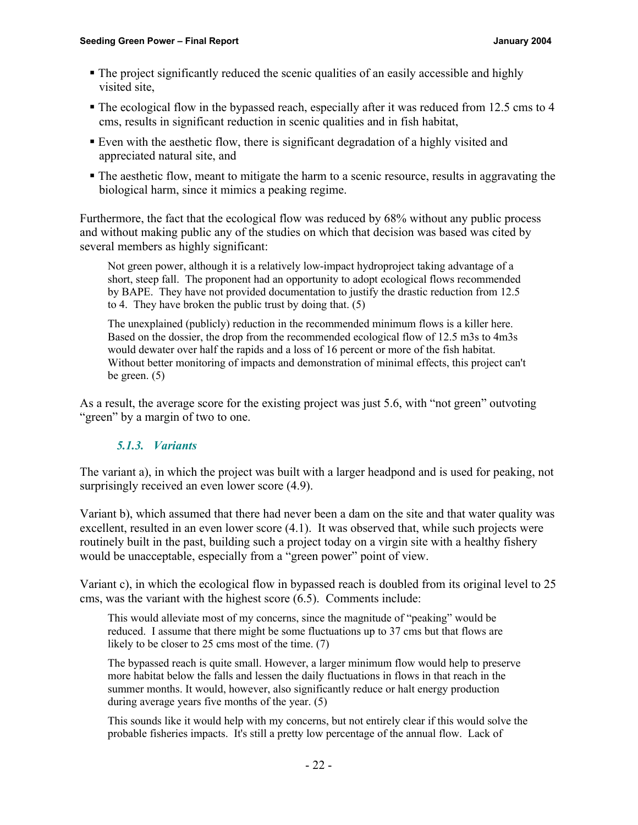- The project significantly reduced the scenic qualities of an easily accessible and highly visited site,
- The ecological flow in the bypassed reach, especially after it was reduced from 12.5 cms to 4 cms, results in significant reduction in scenic qualities and in fish habitat,
- ß Even with the aesthetic flow, there is significant degradation of a highly visited and appreciated natural site, and
- ß The aesthetic flow, meant to mitigate the harm to a scenic resource, results in aggravating the biological harm, since it mimics a peaking regime.

Furthermore, the fact that the ecological flow was reduced by 68% without any public process and without making public any of the studies on which that decision was based was cited by several members as highly significant:

Not green power, although it is a relatively low-impact hydroproject taking advantage of a short, steep fall. The proponent had an opportunity to adopt ecological flows recommended by BAPE. They have not provided documentation to justify the drastic reduction from 12.5 to 4. They have broken the public trust by doing that. (5)

The unexplained (publicly) reduction in the recommended minimum flows is a killer here. Based on the dossier, the drop from the recommended ecological flow of 12.5 m3s to 4m3s would dewater over half the rapids and a loss of 16 percent or more of the fish habitat. Without better monitoring of impacts and demonstration of minimal effects, this project can't be green. (5)

As a result, the average score for the existing project was just 5.6, with "not green" outvoting "green" by a margin of two to one.

# *5.1.3. Variants*

The variant a), in which the project was built with a larger headpond and is used for peaking, not surprisingly received an even lower score  $(4.9)$ .

Variant b), which assumed that there had never been a dam on the site and that water quality was excellent, resulted in an even lower score (4.1). It was observed that, while such projects were routinely built in the past, building such a project today on a virgin site with a healthy fishery would be unacceptable, especially from a "green power" point of view.

Variant c), in which the ecological flow in bypassed reach is doubled from its original level to 25 cms, was the variant with the highest score (6.5). Comments include:

This would alleviate most of my concerns, since the magnitude of "peaking" would be reduced. I assume that there might be some fluctuations up to 37 cms but that flows are likely to be closer to 25 cms most of the time. (7)

The bypassed reach is quite small. However, a larger minimum flow would help to preserve more habitat below the falls and lessen the daily fluctuations in flows in that reach in the summer months. It would, however, also significantly reduce or halt energy production during average years five months of the year. (5)

This sounds like it would help with my concerns, but not entirely clear if this would solve the probable fisheries impacts. It's still a pretty low percentage of the annual flow. Lack of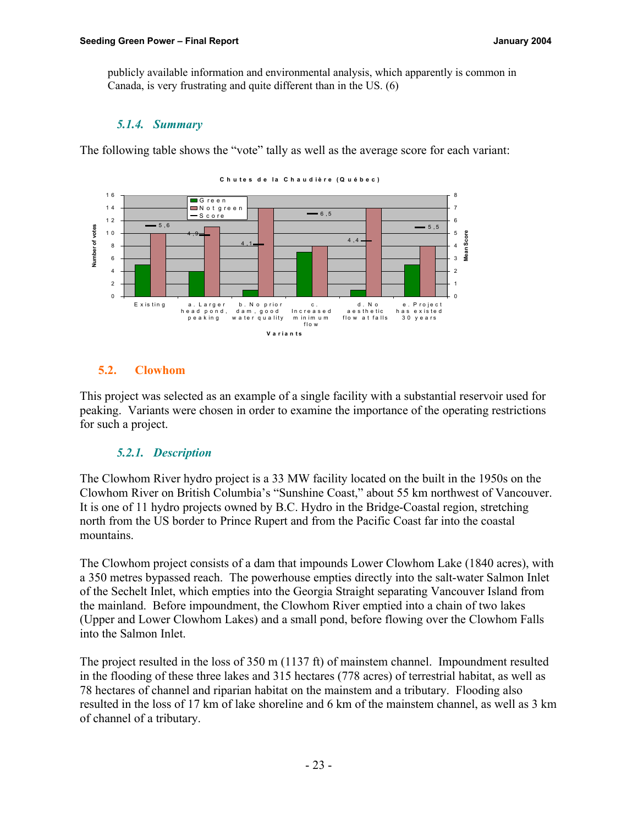publicly available information and environmental analysis, which apparently is common in Canada, is very frustrating and quite different than in the US. (6)

# *5.1.4. Summary*

The following table shows the "vote" tally as well as the average score for each variant:



# **5.2. Clowhom**

This project was selected as an example of a single facility with a substantial reservoir used for peaking. Variants were chosen in order to examine the importance of the operating restrictions for such a project.

# *5.2.1. Description*

The Clowhom River hydro project is a 33 MW facility located on the built in the 1950s on the Clowhom River on British Columbia's "Sunshine Coast," about 55 km northwest of Vancouver. It is one of 11 hydro projects owned by B.C. Hydro in the Bridge-Coastal region, stretching north from the US border to Prince Rupert and from the Pacific Coast far into the coastal mountains.

The Clowhom project consists of a dam that impounds Lower Clowhom Lake (1840 acres), with a 350 metres bypassed reach. The powerhouse empties directly into the salt-water Salmon Inlet of the Sechelt Inlet, which empties into the Georgia Straight separating Vancouver Island from the mainland. Before impoundment, the Clowhom River emptied into a chain of two lakes (Upper and Lower Clowhom Lakes) and a small pond, before flowing over the Clowhom Falls into the Salmon Inlet.

The project resulted in the loss of 350 m (1137 ft) of mainstem channel. Impoundment resulted in the flooding of these three lakes and 315 hectares (778 acres) of terrestrial habitat, as well as 78 hectares of channel and riparian habitat on the mainstem and a tributary. Flooding also resulted in the loss of 17 km of lake shoreline and 6 km of the mainstem channel, as well as 3 km of channel of a tributary.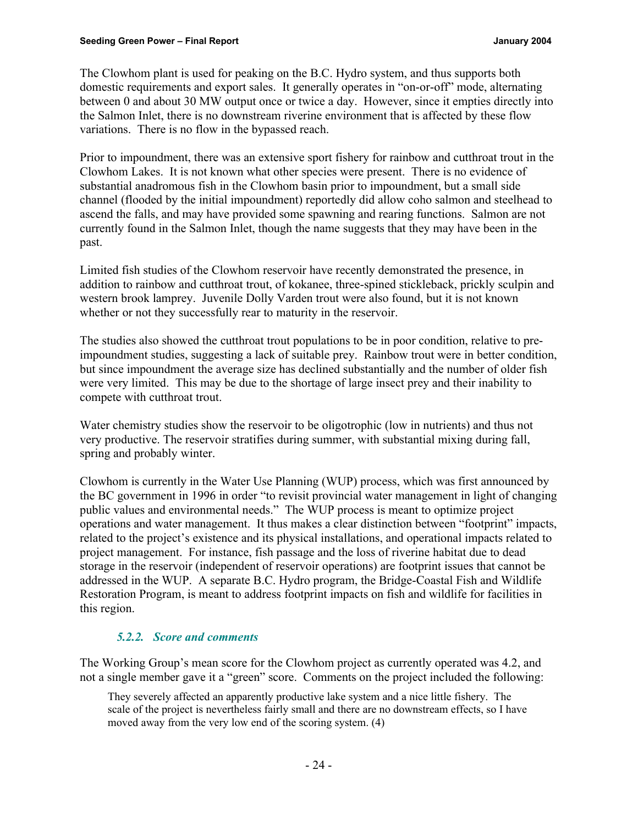The Clowhom plant is used for peaking on the B.C. Hydro system, and thus supports both domestic requirements and export sales. It generally operates in "on-or-off" mode, alternating between 0 and about 30 MW output once or twice a day. However, since it empties directly into the Salmon Inlet, there is no downstream riverine environment that is affected by these flow variations. There is no flow in the bypassed reach.

Prior to impoundment, there was an extensive sport fishery for rainbow and cutthroat trout in the Clowhom Lakes. It is not known what other species were present. There is no evidence of substantial anadromous fish in the Clowhom basin prior to impoundment, but a small side channel (flooded by the initial impoundment) reportedly did allow coho salmon and steelhead to ascend the falls, and may have provided some spawning and rearing functions. Salmon are not currently found in the Salmon Inlet, though the name suggests that they may have been in the past.

Limited fish studies of the Clowhom reservoir have recently demonstrated the presence, in addition to rainbow and cutthroat trout, of kokanee, three-spined stickleback, prickly sculpin and western brook lamprey. Juvenile Dolly Varden trout were also found, but it is not known whether or not they successfully rear to maturity in the reservoir.

The studies also showed the cutthroat trout populations to be in poor condition, relative to preimpoundment studies, suggesting a lack of suitable prey. Rainbow trout were in better condition, but since impoundment the average size has declined substantially and the number of older fish were very limited. This may be due to the shortage of large insect prey and their inability to compete with cutthroat trout.

Water chemistry studies show the reservoir to be oligotrophic (low in nutrients) and thus not very productive. The reservoir stratifies during summer, with substantial mixing during fall, spring and probably winter.

Clowhom is currently in the Water Use Planning (WUP) process, which was first announced by the BC government in 1996 in order "to revisit provincial water management in light of changing public values and environmental needs." The WUP process is meant to optimize project operations and water management. It thus makes a clear distinction between "footprint" impacts, related to the project's existence and its physical installations, and operational impacts related to project management. For instance, fish passage and the loss of riverine habitat due to dead storage in the reservoir (independent of reservoir operations) are footprint issues that cannot be addressed in the WUP. A separate B.C. Hydro program, the Bridge-Coastal Fish and Wildlife Restoration Program, is meant to address footprint impacts on fish and wildlife for facilities in this region.

#### *5.2.2. Score and comments*

The Working Group's mean score for the Clowhom project as currently operated was 4.2, and not a single member gave it a "green" score. Comments on the project included the following:

They severely affected an apparently productive lake system and a nice little fishery. The scale of the project is nevertheless fairly small and there are no downstream effects, so I have moved away from the very low end of the scoring system. (4)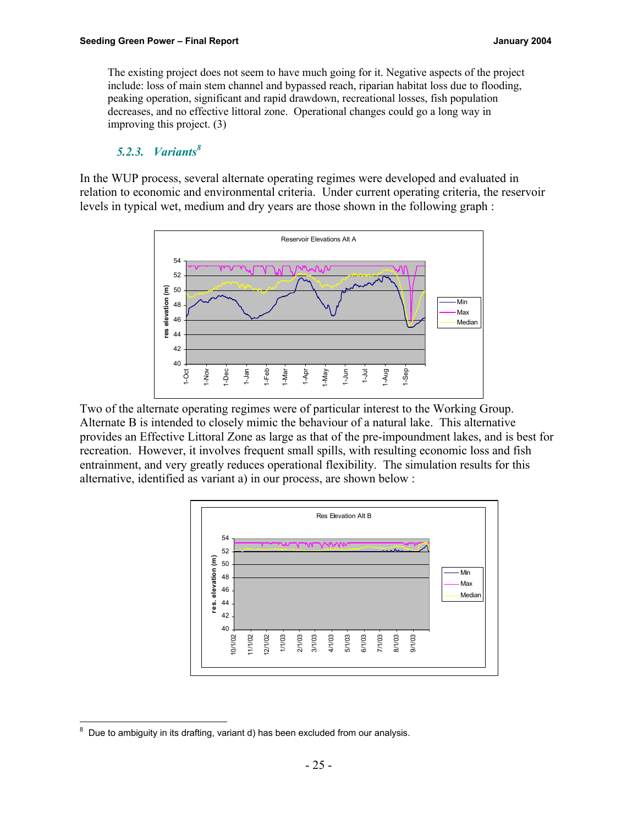The existing project does not seem to have much going for it. Negative aspects of the project include: loss of main stem channel and bypassed reach, riparian habitat loss due to flooding, peaking operation, significant and rapid drawdown, recreational losses, fish population decreases, and no effective littoral zone. Operational changes could go a long way in improving this project. (3)

# *5.2.3. Variants<sup>8</sup>*

In the WUP process, several alternate operating regimes were developed and evaluated in relation to economic and environmental criteria. Under current operating criteria, the reservoir levels in typical wet, medium and dry years are those shown in the following graph :



Two of the alternate operating regimes were of particular interest to the Working Group. Alternate B is intended to closely mimic the behaviour of a natural lake. This alternative provides an Effective Littoral Zone as large as that of the pre-impoundment lakes, and is best for recreation. However, it involves frequent small spills, with resulting economic loss and fish entrainment, and very greatly reduces operational flexibility. The simulation results for this alternative, identified as variant a) in our process, are shown below :



<sup>-&</sup>lt;br>8 Due to ambiguity in its drafting, variant d) has been excluded from our analysis.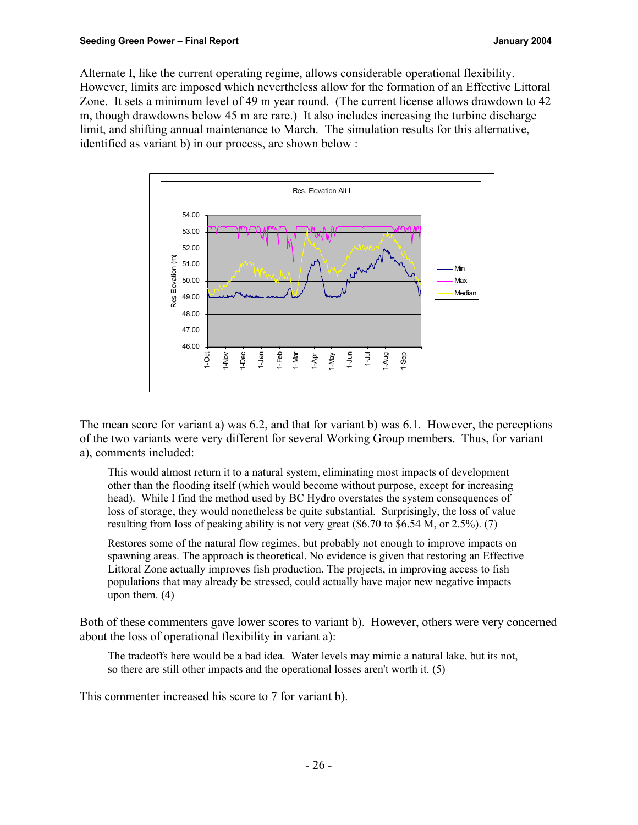Alternate I, like the current operating regime, allows considerable operational flexibility. However, limits are imposed which nevertheless allow for the formation of an Effective Littoral Zone. It sets a minimum level of 49 m year round. (The current license allows drawdown to 42 m, though drawdowns below 45 m are rare.) It also includes increasing the turbine discharge limit, and shifting annual maintenance to March. The simulation results for this alternative, identified as variant b) in our process, are shown below :



The mean score for variant a) was 6.2, and that for variant b) was 6.1. However, the perceptions of the two variants were very different for several Working Group members. Thus, for variant a), comments included:

This would almost return it to a natural system, eliminating most impacts of development other than the flooding itself (which would become without purpose, except for increasing head). While I find the method used by BC Hydro overstates the system consequences of loss of storage, they would nonetheless be quite substantial. Surprisingly, the loss of value resulting from loss of peaking ability is not very great (\$6.70 to \$6.54 M, or 2.5%). (7)

Restores some of the natural flow regimes, but probably not enough to improve impacts on spawning areas. The approach is theoretical. No evidence is given that restoring an Effective Littoral Zone actually improves fish production. The projects, in improving access to fish populations that may already be stressed, could actually have major new negative impacts upon them. (4)

Both of these commenters gave lower scores to variant b). However, others were very concerned about the loss of operational flexibility in variant a):

The tradeoffs here would be a bad idea. Water levels may mimic a natural lake, but its not, so there are still other impacts and the operational losses aren't worth it. (5)

This commenter increased his score to 7 for variant b).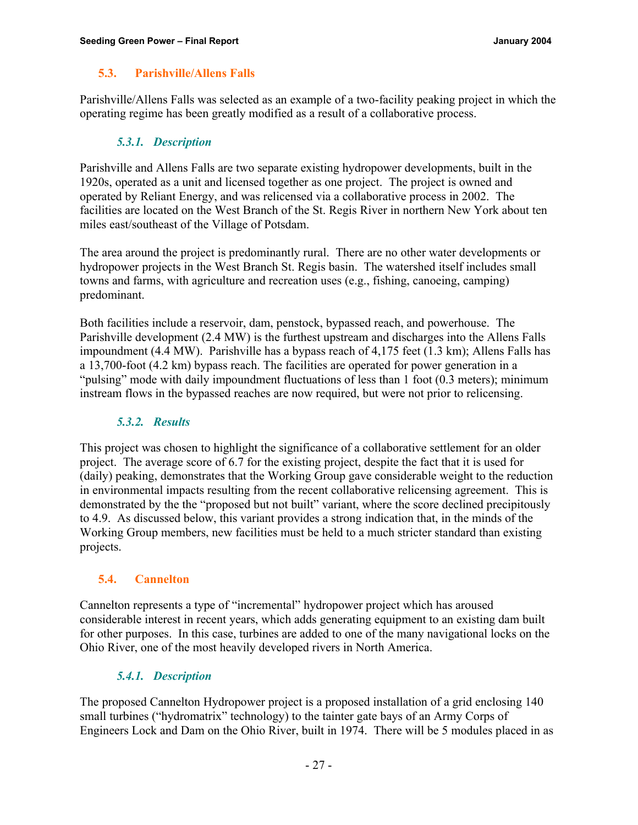# **5.3. Parishville/Allens Falls**

Parishville/Allens Falls was selected as an example of a two-facility peaking project in which the operating regime has been greatly modified as a result of a collaborative process.

# *5.3.1. Description*

Parishville and Allens Falls are two separate existing hydropower developments, built in the 1920s, operated as a unit and licensed together as one project. The project is owned and operated by Reliant Energy, and was relicensed via a collaborative process in 2002. The facilities are located on the West Branch of the St. Regis River in northern New York about ten miles east/southeast of the Village of Potsdam.

The area around the project is predominantly rural. There are no other water developments or hydropower projects in the West Branch St. Regis basin. The watershed itself includes small towns and farms, with agriculture and recreation uses (e.g., fishing, canoeing, camping) predominant.

Both facilities include a reservoir, dam, penstock, bypassed reach, and powerhouse. The Parishville development (2.4 MW) is the furthest upstream and discharges into the Allens Falls impoundment (4.4 MW). Parishville has a bypass reach of 4,175 feet (1.3 km); Allens Falls has a 13,700-foot (4.2 km) bypass reach. The facilities are operated for power generation in a "pulsing" mode with daily impoundment fluctuations of less than 1 foot (0.3 meters); minimum instream flows in the bypassed reaches are now required, but were not prior to relicensing.

# *5.3.2. Results*

This project was chosen to highlight the significance of a collaborative settlement for an older project. The average score of 6.7 for the existing project, despite the fact that it is used for (daily) peaking, demonstrates that the Working Group gave considerable weight to the reduction in environmental impacts resulting from the recent collaborative relicensing agreement. This is demonstrated by the the "proposed but not built" variant, where the score declined precipitously to 4.9. As discussed below, this variant provides a strong indication that, in the minds of the Working Group members, new facilities must be held to a much stricter standard than existing projects.

# **5.4. Cannelton**

Cannelton represents a type of "incremental" hydropower project which has aroused considerable interest in recent years, which adds generating equipment to an existing dam built for other purposes. In this case, turbines are added to one of the many navigational locks on the Ohio River, one of the most heavily developed rivers in North America.

# *5.4.1. Description*

The proposed Cannelton Hydropower project is a proposed installation of a grid enclosing 140 small turbines ("hydromatrix" technology) to the tainter gate bays of an Army Corps of Engineers Lock and Dam on the Ohio River, built in 1974. There will be 5 modules placed in as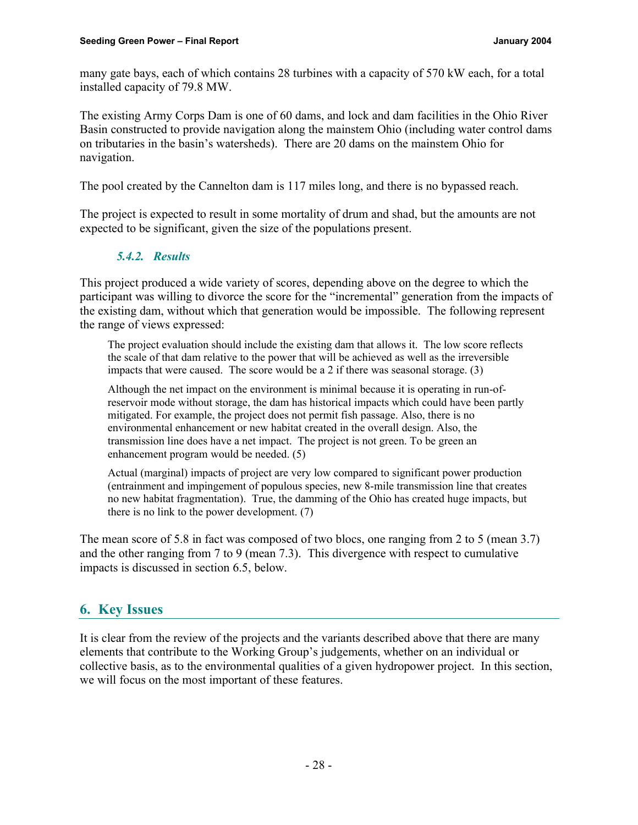many gate bays, each of which contains 28 turbines with a capacity of 570 kW each, for a total installed capacity of 79.8 MW.

The existing Army Corps Dam is one of 60 dams, and lock and dam facilities in the Ohio River Basin constructed to provide navigation along the mainstem Ohio (including water control dams on tributaries in the basin's watersheds). There are 20 dams on the mainstem Ohio for navigation.

The pool created by the Cannelton dam is 117 miles long, and there is no bypassed reach.

The project is expected to result in some mortality of drum and shad, but the amounts are not expected to be significant, given the size of the populations present.

# *5.4.2. Results*

This project produced a wide variety of scores, depending above on the degree to which the participant was willing to divorce the score for the "incremental" generation from the impacts of the existing dam, without which that generation would be impossible. The following represent the range of views expressed:

The project evaluation should include the existing dam that allows it. The low score reflects the scale of that dam relative to the power that will be achieved as well as the irreversible impacts that were caused. The score would be a 2 if there was seasonal storage. (3)

Although the net impact on the environment is minimal because it is operating in run-ofreservoir mode without storage, the dam has historical impacts which could have been partly mitigated. For example, the project does not permit fish passage. Also, there is no environmental enhancement or new habitat created in the overall design. Also, the transmission line does have a net impact. The project is not green. To be green an enhancement program would be needed. (5)

Actual (marginal) impacts of project are very low compared to significant power production (entrainment and impingement of populous species, new 8-mile transmission line that creates no new habitat fragmentation). True, the damming of the Ohio has created huge impacts, but there is no link to the power development. (7)

The mean score of 5.8 in fact was composed of two blocs, one ranging from 2 to 5 (mean 3.7) and the other ranging from 7 to 9 (mean 7.3). This divergence with respect to cumulative impacts is discussed in section 6.5, below.

# **6. Key Issues**

It is clear from the review of the projects and the variants described above that there are many elements that contribute to the Working Group's judgements, whether on an individual or collective basis, as to the environmental qualities of a given hydropower project. In this section, we will focus on the most important of these features.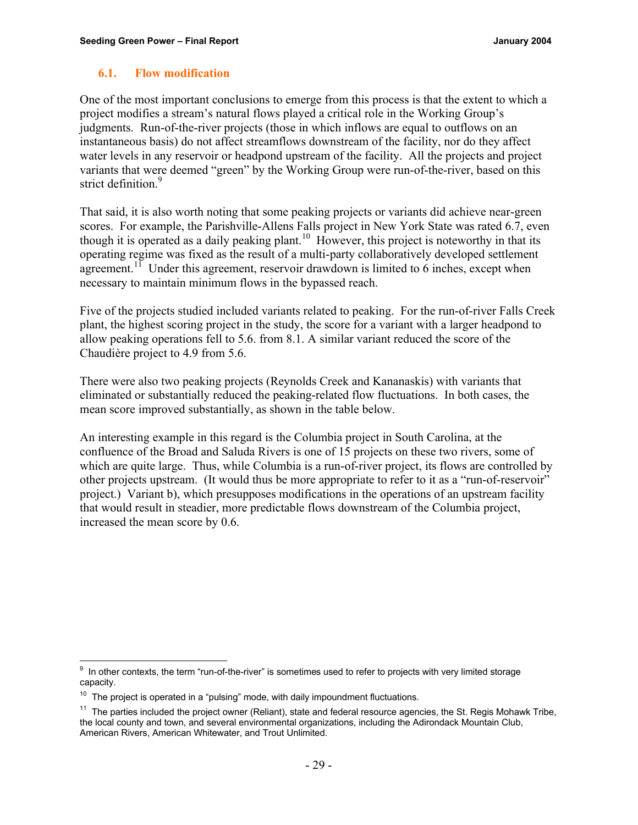### **6.1. Flow modification**

One of the most important conclusions to emerge from this process is that the extent to which a project modifies a stream's natural flows played a critical role in the Working Group's judgments. Run-of-the-river projects (those in which inflows are equal to outflows on an instantaneous basis) do not affect streamflows downstream of the facility, nor do they affect water levels in any reservoir or headpond upstream of the facility. All the projects and project variants that were deemed "green" by the Working Group were run-of-the-river, based on this strict definition.<sup>9</sup>

That said, it is also worth noting that some peaking projects or variants did achieve near-green scores. For example, the Parishville-Allens Falls project in New York State was rated 6.7, even though it is operated as a daily peaking plant.<sup>10</sup> However, this project is noteworthy in that its operating regime was fixed as the result of a multi-party collaboratively developed settlement agreement.<sup>11</sup> Under this agreement, reservoir drawdown is limited to 6 inches, except when necessary to maintain minimum flows in the bypassed reach.

Five of the projects studied included variants related to peaking. For the run-of-river Falls Creek plant, the highest scoring project in the study, the score for a variant with a larger headpond to allow peaking operations fell to 5.6. from 8.1. A similar variant reduced the score of the Chaudière project to 4.9 from 5.6.

There were also two peaking projects (Reynolds Creek and Kananaskis) with variants that eliminated or substantially reduced the peaking-related flow fluctuations. In both cases, the mean score improved substantially, as shown in the table below.

An interesting example in this regard is the Columbia project in South Carolina, at the confluence of the Broad and Saluda Rivers is one of 15 projects on these two rivers, some of which are quite large. Thus, while Columbia is a run-of-river project, its flows are controlled by other projects upstream. (It would thus be more appropriate to refer to it as a "run-of-reservoir" project.) Variant b), which presupposes modifications in the operations of an upstream facility that would result in steadier, more predictable flows downstream of the Columbia project, increased the mean score by 0.6.

<sup>-&</sup>lt;br>9 In other contexts, the term "run-of-the-river" is sometimes used to refer to projects with very limited storage capacity.

 $10$  The project is operated in a "pulsing" mode, with daily impoundment fluctuations.

 $11$  The parties included the project owner (Reliant), state and federal resource agencies, the St. Regis Mohawk Tribe, the local county and town, and several environmental organizations, including the Adirondack Mountain Club, American Rivers, American Whitewater, and Trout Unlimited.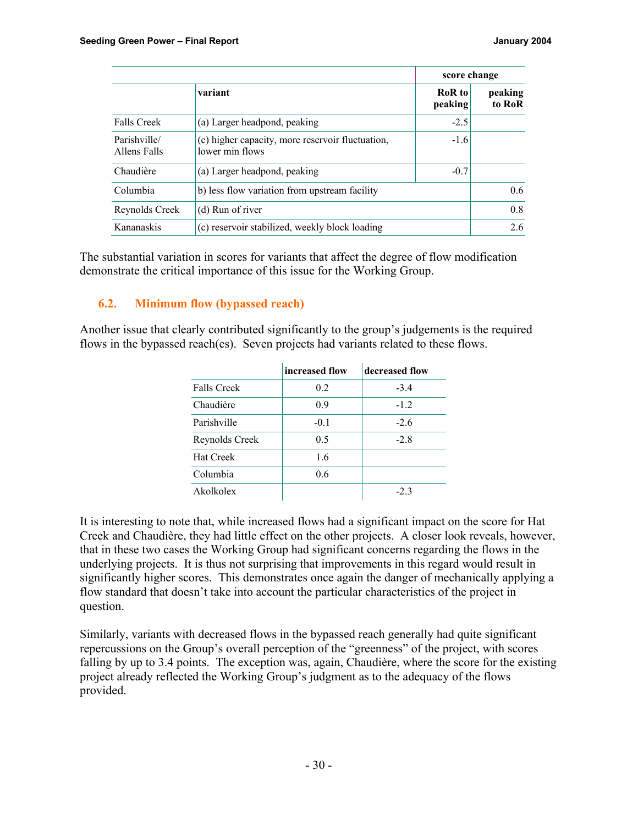|                              |                                                                     | score change      |                   |
|------------------------------|---------------------------------------------------------------------|-------------------|-------------------|
|                              | variant                                                             | RoR to<br>peaking | peaking<br>to RoR |
| <b>Falls Creek</b>           | (a) Larger headpond, peaking                                        | $-2.5$            |                   |
| Parishville/<br>Allens Falls | (c) higher capacity, more reservoir fluctuation,<br>lower min flows | $-1.6$            |                   |
| Chaudière                    | (a) Larger headpond, peaking                                        | $-0.7$            |                   |
| Columbia                     | b) less flow variation from upstream facility                       |                   | $0.6^{\circ}$     |
| Reynolds Creek               | (d) Run of river                                                    |                   | 0.8               |
| Kananaskis                   | (c) reservoir stabilized, weekly block loading                      |                   | 2.6               |

The substantial variation in scores for variants that affect the degree of flow modification demonstrate the critical importance of this issue for the Working Group.

# **6.2. Minimum flow (bypassed reach)**

Another issue that clearly contributed significantly to the group's judgements is the required flows in the bypassed reach(es). Seven projects had variants related to these flows.

|                    | increased flow | decreased flow |
|--------------------|----------------|----------------|
| <b>Falls Creek</b> | 0.2            | $-3.4$         |
| Chaudière          | 0.9            | $-1.2$         |
| Parishville        | $-0.1$         | $-2.6$         |
| Reynolds Creek     | 0.5            | $-2.8$         |
| <b>Hat Creek</b>   | 1.6            |                |
| Columbia           | 0.6            |                |
| Akolkolex          |                | $-2.3$         |

It is interesting to note that, while increased flows had a significant impact on the score for Hat Creek and Chaudière, they had little effect on the other projects. A closer look reveals, however, that in these two cases the Working Group had significant concerns regarding the flows in the underlying projects. It is thus not surprising that improvements in this regard would result in significantly higher scores. This demonstrates once again the danger of mechanically applying a flow standard that doesn't take into account the particular characteristics of the project in question.

Similarly, variants with decreased flows in the bypassed reach generally had quite significant repercussions on the Group's overall perception of the "greenness" of the project, with scores falling by up to 3.4 points. The exception was, again, Chaudière, where the score for the existing project already reflected the Working Group's judgment as to the adequacy of the flows provided.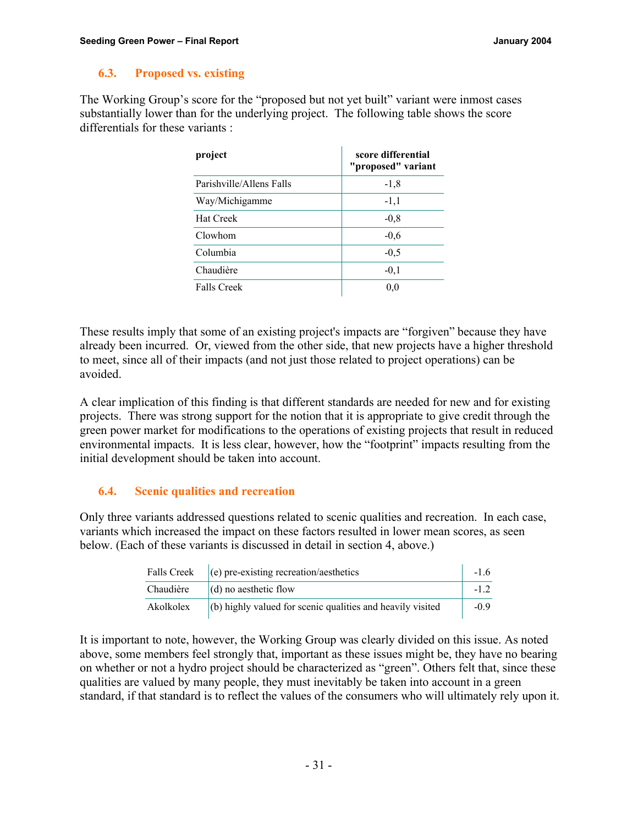#### **6.3. Proposed vs. existing**

The Working Group's score for the "proposed but not yet built" variant were inmost cases substantially lower than for the underlying project. The following table shows the score differentials for these variants :

| project                  | score differential<br>"proposed" variant |
|--------------------------|------------------------------------------|
| Parishville/Allens Falls | $-1,8$                                   |
| Way/Michigamme           | $-1,1$                                   |
| <b>Hat Creek</b>         | $-0.8$                                   |
| Clowhom                  | $-0.6$                                   |
| Columbia                 | $-0.5$                                   |
| Chaudière                | $-0.1$                                   |
| <b>Falls Creek</b>       | 0.0                                      |

These results imply that some of an existing project's impacts are "forgiven" because they have already been incurred. Or, viewed from the other side, that new projects have a higher threshold to meet, since all of their impacts (and not just those related to project operations) can be avoided.

A clear implication of this finding is that different standards are needed for new and for existing projects. There was strong support for the notion that it is appropriate to give credit through the green power market for modifications to the operations of existing projects that result in reduced environmental impacts. It is less clear, however, how the "footprint" impacts resulting from the initial development should be taken into account.

#### **6.4. Scenic qualities and recreation**

Only three variants addressed questions related to scenic qualities and recreation. In each case, variants which increased the impact on these factors resulted in lower mean scores, as seen below. (Each of these variants is discussed in detail in section 4, above.)

| <b>Falls Creek</b> | $(e)$ pre-existing recreation/aesthetics                   | $-16$  |
|--------------------|------------------------------------------------------------|--------|
| Chaudière          | $(d)$ no aesthetic flow                                    |        |
| Akolkolex          | (b) highly valued for scenic qualities and heavily visited | $-0.9$ |

It is important to note, however, the Working Group was clearly divided on this issue. As noted above, some members feel strongly that, important as these issues might be, they have no bearing on whether or not a hydro project should be characterized as "green". Others felt that, since these qualities are valued by many people, they must inevitably be taken into account in a green standard, if that standard is to reflect the values of the consumers who will ultimately rely upon it.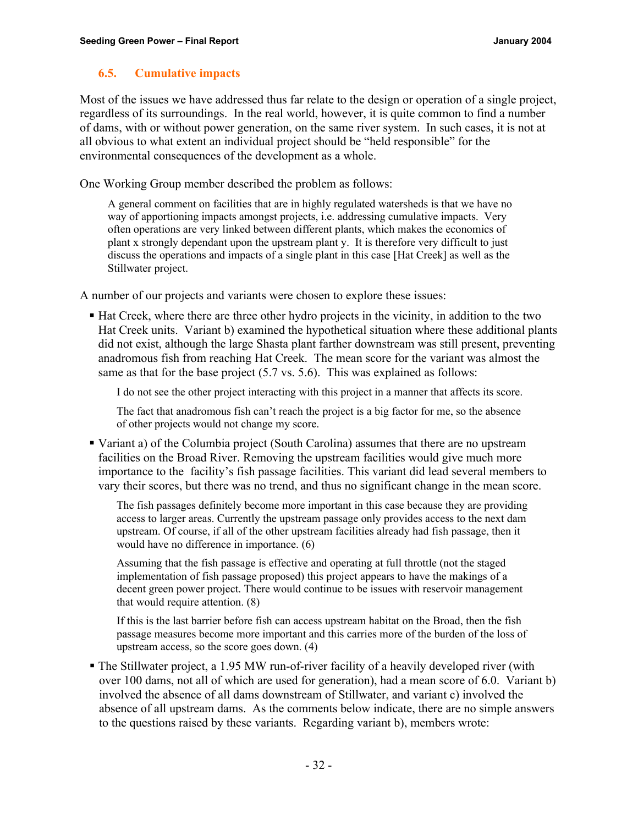### **6.5. Cumulative impacts**

Most of the issues we have addressed thus far relate to the design or operation of a single project, regardless of its surroundings. In the real world, however, it is quite common to find a number of dams, with or without power generation, on the same river system. In such cases, it is not at all obvious to what extent an individual project should be "held responsible" for the environmental consequences of the development as a whole.

One Working Group member described the problem as follows:

A general comment on facilities that are in highly regulated watersheds is that we have no way of apportioning impacts amongst projects, i.e. addressing cumulative impacts. Very often operations are very linked between different plants, which makes the economics of plant x strongly dependant upon the upstream plant y. It is therefore very difficult to just discuss the operations and impacts of a single plant in this case [Hat Creek] as well as the Stillwater project.

A number of our projects and variants were chosen to explore these issues:

ß Hat Creek, where there are three other hydro projects in the vicinity, in addition to the two Hat Creek units. Variant b) examined the hypothetical situation where these additional plants did not exist, although the large Shasta plant farther downstream was still present, preventing anadromous fish from reaching Hat Creek. The mean score for the variant was almost the same as that for the base project (5.7 vs. 5.6). This was explained as follows:

I do not see the other project interacting with this project in a manner that affects its score.

The fact that anadromous fish can't reach the project is a big factor for me, so the absence of other projects would not change my score.

ß Variant a) of the Columbia project (South Carolina) assumes that there are no upstream facilities on the Broad River. Removing the upstream facilities would give much more importance to the facility's fish passage facilities. This variant did lead several members to vary their scores, but there was no trend, and thus no significant change in the mean score.

The fish passages definitely become more important in this case because they are providing access to larger areas. Currently the upstream passage only provides access to the next dam upstream. Of course, if all of the other upstream facilities already had fish passage, then it would have no difference in importance. (6)

Assuming that the fish passage is effective and operating at full throttle (not the staged implementation of fish passage proposed) this project appears to have the makings of a decent green power project. There would continue to be issues with reservoir management that would require attention. (8)

If this is the last barrier before fish can access upstream habitat on the Broad, then the fish passage measures become more important and this carries more of the burden of the loss of upstream access, so the score goes down. (4)

ß The Stillwater project, a 1.95 MW run-of-river facility of a heavily developed river (with over 100 dams, not all of which are used for generation), had a mean score of 6.0. Variant b) involved the absence of all dams downstream of Stillwater, and variant c) involved the absence of all upstream dams. As the comments below indicate, there are no simple answers to the questions raised by these variants. Regarding variant b), members wrote: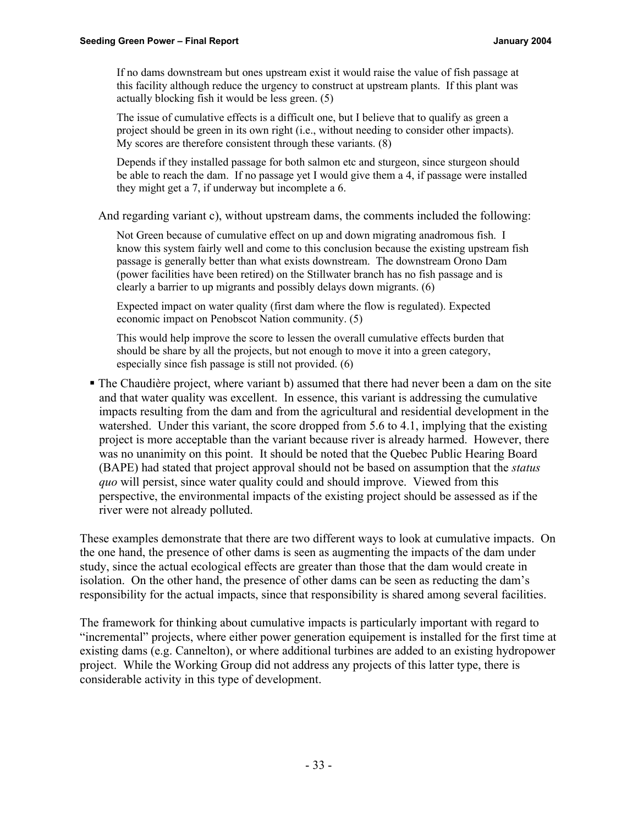If no dams downstream but ones upstream exist it would raise the value of fish passage at this facility although reduce the urgency to construct at upstream plants. If this plant was actually blocking fish it would be less green. (5)

The issue of cumulative effects is a difficult one, but I believe that to qualify as green a project should be green in its own right (i.e., without needing to consider other impacts). My scores are therefore consistent through these variants. (8)

Depends if they installed passage for both salmon etc and sturgeon, since sturgeon should be able to reach the dam. If no passage yet I would give them a 4, if passage were installed they might get a 7, if underway but incomplete a 6.

And regarding variant c), without upstream dams, the comments included the following:

Not Green because of cumulative effect on up and down migrating anadromous fish. I know this system fairly well and come to this conclusion because the existing upstream fish passage is generally better than what exists downstream. The downstream Orono Dam (power facilities have been retired) on the Stillwater branch has no fish passage and is clearly a barrier to up migrants and possibly delays down migrants. (6)

Expected impact on water quality (first dam where the flow is regulated). Expected economic impact on Penobscot Nation community. (5)

This would help improve the score to lessen the overall cumulative effects burden that should be share by all the projects, but not enough to move it into a green category, especially since fish passage is still not provided. (6)

• The Chaudière project, where variant b) assumed that there had never been a dam on the site and that water quality was excellent. In essence, this variant is addressing the cumulative impacts resulting from the dam and from the agricultural and residential development in the watershed. Under this variant, the score dropped from 5.6 to 4.1, implying that the existing project is more acceptable than the variant because river is already harmed. However, there was no unanimity on this point. It should be noted that the Quebec Public Hearing Board (BAPE) had stated that project approval should not be based on assumption that the *status quo* will persist, since water quality could and should improve. Viewed from this perspective, the environmental impacts of the existing project should be assessed as if the river were not already polluted.

These examples demonstrate that there are two different ways to look at cumulative impacts. On the one hand, the presence of other dams is seen as augmenting the impacts of the dam under study, since the actual ecological effects are greater than those that the dam would create in isolation. On the other hand, the presence of other dams can be seen as reducting the dam's responsibility for the actual impacts, since that responsibility is shared among several facilities.

The framework for thinking about cumulative impacts is particularly important with regard to "incremental" projects, where either power generation equipement is installed for the first time at existing dams (e.g. Cannelton), or where additional turbines are added to an existing hydropower project. While the Working Group did not address any projects of this latter type, there is considerable activity in this type of development.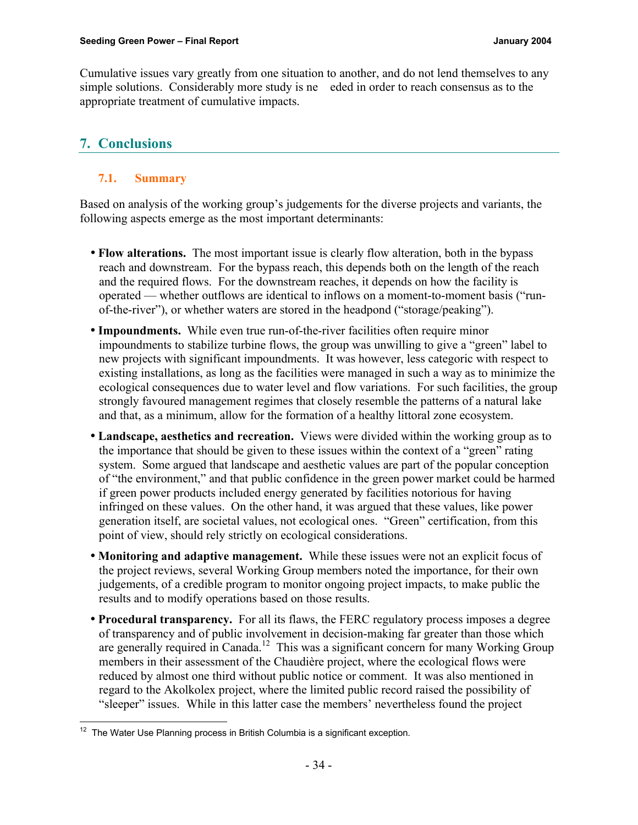Cumulative issues vary greatly from one situation to another, and do not lend themselves to any simple solutions. Considerably more study is ne eded in order to reach consensus as to the appropriate treatment of cumulative impacts.

# **7. Conclusions**

# **7.1. Summary**

Based on analysis of the working group's judgements for the diverse projects and variants, the following aspects emerge as the most important determinants:

- **Flow alterations.** The most important issue is clearly flow alteration, both in the bypass reach and downstream. For the bypass reach, this depends both on the length of the reach and the required flows. For the downstream reaches, it depends on how the facility is operated — whether outflows are identical to inflows on a moment-to-moment basis ("runof-the-river"), or whether waters are stored in the headpond ("storage/peaking").
- **Impoundments.** While even true run-of-the-river facilities often require minor impoundments to stabilize turbine flows, the group was unwilling to give a "green" label to new projects with significant impoundments. It was however, less categoric with respect to existing installations, as long as the facilities were managed in such a way as to minimize the ecological consequences due to water level and flow variations. For such facilities, the group strongly favoured management regimes that closely resemble the patterns of a natural lake and that, as a minimum, allow for the formation of a healthy littoral zone ecosystem.
- **Landscape, aesthetics and recreation.** Views were divided within the working group as to the importance that should be given to these issues within the context of a "green" rating system. Some argued that landscape and aesthetic values are part of the popular conception of "the environment," and that public confidence in the green power market could be harmed if green power products included energy generated by facilities notorious for having infringed on these values. On the other hand, it was argued that these values, like power generation itself, are societal values, not ecological ones. "Green" certification, from this point of view, should rely strictly on ecological considerations.
- **Monitoring and adaptive management.** While these issues were not an explicit focus of the project reviews, several Working Group members noted the importance, for their own judgements, of a credible program to monitor ongoing project impacts, to make public the results and to modify operations based on those results.
- **Procedural transparency.** For all its flaws, the FERC regulatory process imposes a degree of transparency and of public involvement in decision-making far greater than those which are generally required in Canada.<sup>12</sup> This was a significant concern for many Working Group members in their assessment of the Chaudière project, where the ecological flows were reduced by almost one third without public notice or comment. It was also mentioned in regard to the Akolkolex project, where the limited public record raised the possibility of "sleeper" issues. While in this latter case the members' nevertheless found the project

 $\overline{a}$  $12$  The Water Use Planning process in British Columbia is a significant exception.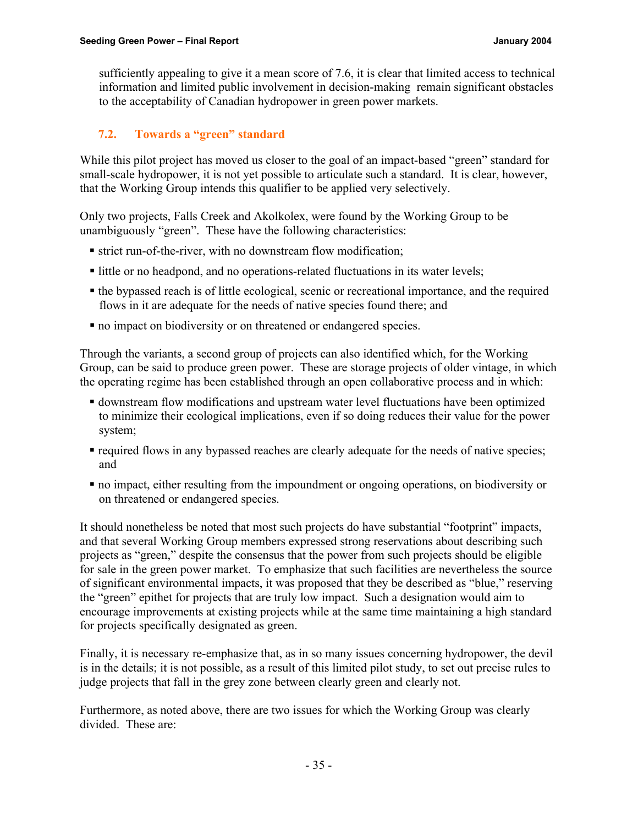sufficiently appealing to give it a mean score of 7.6, it is clear that limited access to technical information and limited public involvement in decision-making remain significant obstacles to the acceptability of Canadian hydropower in green power markets.

# **7.2. Towards a "green" standard**

While this pilot project has moved us closer to the goal of an impact-based "green" standard for small-scale hydropower, it is not yet possible to articulate such a standard. It is clear, however, that the Working Group intends this qualifier to be applied very selectively.

Only two projects, Falls Creek and Akolkolex, were found by the Working Group to be unambiguously "green". These have the following characteristics:

- ß strict run-of-the-river, with no downstream flow modification;
- I little or no headpond, and no operations-related fluctuations in its water levels;
- the bypassed reach is of little ecological, scenic or recreational importance, and the required flows in it are adequate for the needs of native species found there; and
- $\blacksquare$  no impact on biodiversity or on threatened or endangered species.

Through the variants, a second group of projects can also identified which, for the Working Group, can be said to produce green power. These are storage projects of older vintage, in which the operating regime has been established through an open collaborative process and in which:

- ß downstream flow modifications and upstream water level fluctuations have been optimized to minimize their ecological implications, even if so doing reduces their value for the power system;
- required flows in any bypassed reaches are clearly adequate for the needs of native species; and
- ß no impact, either resulting from the impoundment or ongoing operations, on biodiversity or on threatened or endangered species.

It should nonetheless be noted that most such projects do have substantial "footprint" impacts, and that several Working Group members expressed strong reservations about describing such projects as "green," despite the consensus that the power from such projects should be eligible for sale in the green power market. To emphasize that such facilities are nevertheless the source of significant environmental impacts, it was proposed that they be described as "blue," reserving the "green" epithet for projects that are truly low impact. Such a designation would aim to encourage improvements at existing projects while at the same time maintaining a high standard for projects specifically designated as green.

Finally, it is necessary re-emphasize that, as in so many issues concerning hydropower, the devil is in the details; it is not possible, as a result of this limited pilot study, to set out precise rules to judge projects that fall in the grey zone between clearly green and clearly not.

Furthermore, as noted above, there are two issues for which the Working Group was clearly divided. These are: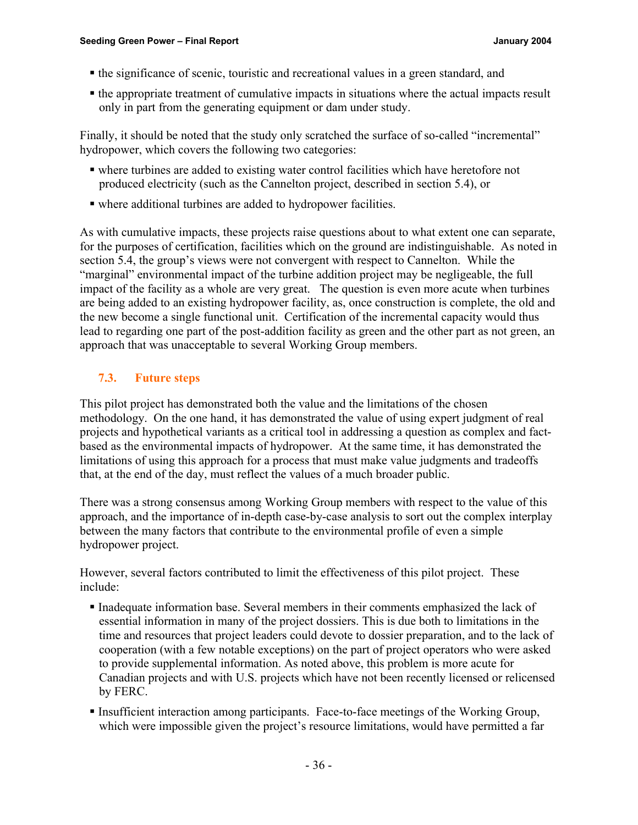- the significance of scenic, touristic and recreational values in a green standard, and
- the appropriate treatment of cumulative impacts in situations where the actual impacts result only in part from the generating equipment or dam under study.

Finally, it should be noted that the study only scratched the surface of so-called "incremental" hydropower, which covers the following two categories:

- ß where turbines are added to existing water control facilities which have heretofore not produced electricity (such as the Cannelton project, described in section 5.4), or
- where additional turbines are added to hydropower facilities.

As with cumulative impacts, these projects raise questions about to what extent one can separate, for the purposes of certification, facilities which on the ground are indistinguishable. As noted in section 5.4, the group's views were not convergent with respect to Cannelton. While the "marginal" environmental impact of the turbine addition project may be negligeable, the full impact of the facility as a whole are very great. The question is even more acute when turbines are being added to an existing hydropower facility, as, once construction is complete, the old and the new become a single functional unit. Certification of the incremental capacity would thus lead to regarding one part of the post-addition facility as green and the other part as not green, an approach that was unacceptable to several Working Group members.

# **7.3. Future steps**

This pilot project has demonstrated both the value and the limitations of the chosen methodology. On the one hand, it has demonstrated the value of using expert judgment of real projects and hypothetical variants as a critical tool in addressing a question as complex and factbased as the environmental impacts of hydropower. At the same time, it has demonstrated the limitations of using this approach for a process that must make value judgments and tradeoffs that, at the end of the day, must reflect the values of a much broader public.

There was a strong consensus among Working Group members with respect to the value of this approach, and the importance of in-depth case-by-case analysis to sort out the complex interplay between the many factors that contribute to the environmental profile of even a simple hydropower project.

However, several factors contributed to limit the effectiveness of this pilot project. These include:

- ß Inadequate information base. Several members in their comments emphasized the lack of essential information in many of the project dossiers. This is due both to limitations in the time and resources that project leaders could devote to dossier preparation, and to the lack of cooperation (with a few notable exceptions) on the part of project operators who were asked to provide supplemental information. As noted above, this problem is more acute for Canadian projects and with U.S. projects which have not been recently licensed or relicensed by FERC.
- ß Insufficient interaction among participants. Face-to-face meetings of the Working Group, which were impossible given the project's resource limitations, would have permitted a far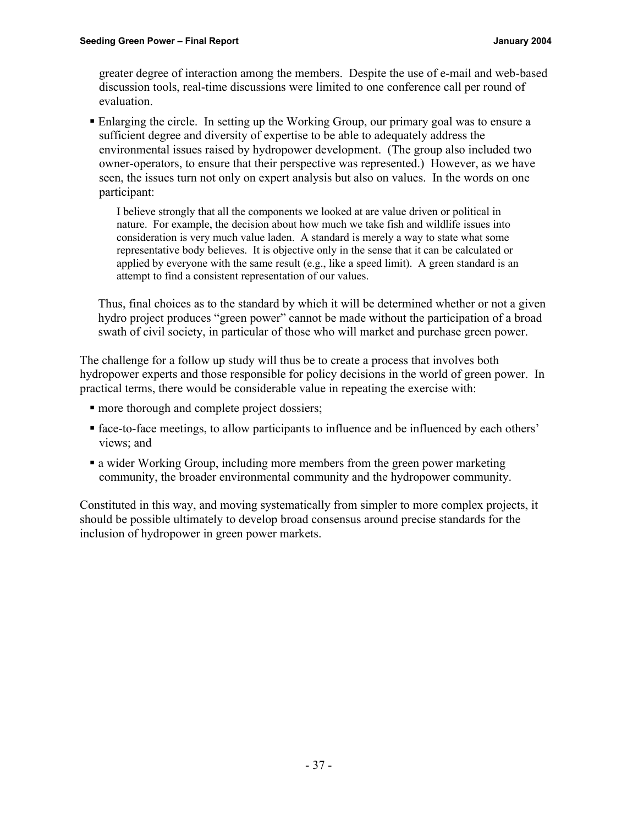greater degree of interaction among the members. Despite the use of e-mail and web-based discussion tools, real-time discussions were limited to one conference call per round of evaluation.

ß Enlarging the circle. In setting up the Working Group, our primary goal was to ensure a sufficient degree and diversity of expertise to be able to adequately address the environmental issues raised by hydropower development. (The group also included two owner-operators, to ensure that their perspective was represented.) However, as we have seen, the issues turn not only on expert analysis but also on values. In the words on one participant:

I believe strongly that all the components we looked at are value driven or political in nature. For example, the decision about how much we take fish and wildlife issues into consideration is very much value laden. A standard is merely a way to state what some representative body believes. It is objective only in the sense that it can be calculated or applied by everyone with the same result (e.g., like a speed limit). A green standard is an attempt to find a consistent representation of our values.

Thus, final choices as to the standard by which it will be determined whether or not a given hydro project produces "green power" cannot be made without the participation of a broad swath of civil society, in particular of those who will market and purchase green power.

The challenge for a follow up study will thus be to create a process that involves both hydropower experts and those responsible for policy decisions in the world of green power. In practical terms, there would be considerable value in repeating the exercise with:

- more thorough and complete project dossiers;
- face-to-face meetings, to allow participants to influence and be influenced by each others' views; and
- a wider Working Group, including more members from the green power marketing community, the broader environmental community and the hydropower community.

Constituted in this way, and moving systematically from simpler to more complex projects, it should be possible ultimately to develop broad consensus around precise standards for the inclusion of hydropower in green power markets.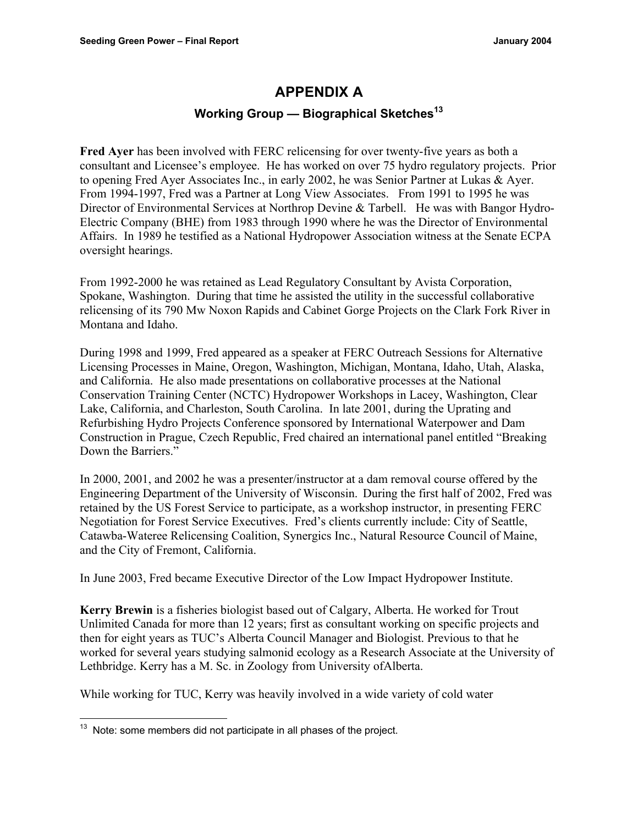# **APPENDIX A**

### **Working Group — Biographical Sketches<sup>13</sup>**

**Fred Ayer** has been involved with FERC relicensing for over twenty-five years as both a consultant and Licensee's employee. He has worked on over 75 hydro regulatory projects. Prior to opening Fred Ayer Associates Inc., in early 2002, he was Senior Partner at Lukas & Ayer. From 1994-1997, Fred was a Partner at Long View Associates. From 1991 to 1995 he was Director of Environmental Services at Northrop Devine & Tarbell. He was with Bangor Hydro-Electric Company (BHE) from 1983 through 1990 where he was the Director of Environmental Affairs. In 1989 he testified as a National Hydropower Association witness at the Senate ECPA oversight hearings.

From 1992-2000 he was retained as Lead Regulatory Consultant by Avista Corporation, Spokane, Washington. During that time he assisted the utility in the successful collaborative relicensing of its 790 Mw Noxon Rapids and Cabinet Gorge Projects on the Clark Fork River in Montana and Idaho.

During 1998 and 1999, Fred appeared as a speaker at FERC Outreach Sessions for Alternative Licensing Processes in Maine, Oregon, Washington, Michigan, Montana, Idaho, Utah, Alaska, and California. He also made presentations on collaborative processes at the National Conservation Training Center (NCTC) Hydropower Workshops in Lacey, Washington, Clear Lake, California, and Charleston, South Carolina. In late 2001, during the Uprating and Refurbishing Hydro Projects Conference sponsored by International Waterpower and Dam Construction in Prague, Czech Republic, Fred chaired an international panel entitled "Breaking Down the Barriers."

In 2000, 2001, and 2002 he was a presenter/instructor at a dam removal course offered by the Engineering Department of the University of Wisconsin. During the first half of 2002, Fred was retained by the US Forest Service to participate, as a workshop instructor, in presenting FERC Negotiation for Forest Service Executives. Fred's clients currently include: City of Seattle, Catawba-Wateree Relicensing Coalition, Synergics Inc., Natural Resource Council of Maine, and the City of Fremont, California.

In June 2003, Fred became Executive Director of the Low Impact Hydropower Institute.

**Kerry Brewin** is a fisheries biologist based out of Calgary, Alberta. He worked for Trout Unlimited Canada for more than 12 years; first as consultant working on specific projects and then for eight years as TUC's Alberta Council Manager and Biologist. Previous to that he worked for several years studying salmonid ecology as a Research Associate at the University of Lethbridge. Kerry has a M. Sc. in Zoology from University ofAlberta.

While working for TUC, Kerry was heavily involved in a wide variety of cold water

l

 $13$  Note: some members did not participate in all phases of the project.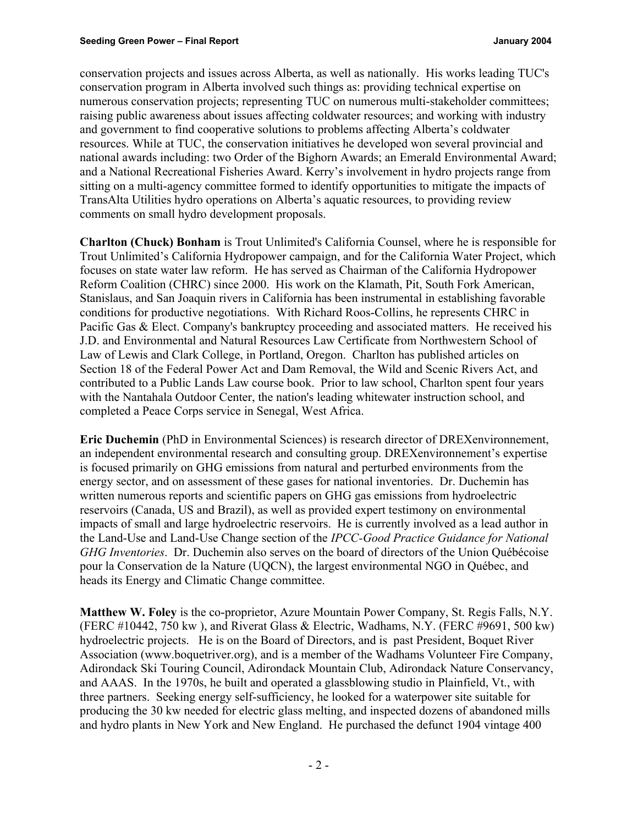conservation projects and issues across Alberta, as well as nationally. His works leading TUC's conservation program in Alberta involved such things as: providing technical expertise on numerous conservation projects; representing TUC on numerous multi-stakeholder committees; raising public awareness about issues affecting coldwater resources; and working with industry and government to find cooperative solutions to problems affecting Alberta's coldwater resources. While at TUC, the conservation initiatives he developed won several provincial and national awards including: two Order of the Bighorn Awards; an Emerald Environmental Award; and a National Recreational Fisheries Award. Kerry's involvement in hydro projects range from sitting on a multi-agency committee formed to identify opportunities to mitigate the impacts of TransAlta Utilities hydro operations on Alberta's aquatic resources, to providing review comments on small hydro development proposals.

**Charlton (Chuck) Bonham** is Trout Unlimited's California Counsel, where he is responsible for Trout Unlimited's California Hydropower campaign, and for the California Water Project, which focuses on state water law reform. He has served as Chairman of the California Hydropower Reform Coalition (CHRC) since 2000. His work on the Klamath, Pit, South Fork American, Stanislaus, and San Joaquin rivers in California has been instrumental in establishing favorable conditions for productive negotiations. With Richard Roos-Collins, he represents CHRC in Pacific Gas & Elect. Company's bankruptcy proceeding and associated matters. He received his J.D. and Environmental and Natural Resources Law Certificate from Northwestern School of Law of Lewis and Clark College, in Portland, Oregon. Charlton has published articles on Section 18 of the Federal Power Act and Dam Removal, the Wild and Scenic Rivers Act, and contributed to a Public Lands Law course book. Prior to law school, Charlton spent four years with the Nantahala Outdoor Center, the nation's leading whitewater instruction school, and completed a Peace Corps service in Senegal, West Africa.

**Eric Duchemin** (PhD in Environmental Sciences) is research director of DREXenvironnement, an independent environmental research and consulting group. DREXenvironnement's expertise is focused primarily on GHG emissions from natural and perturbed environments from the energy sector, and on assessment of these gases for national inventories. Dr. Duchemin has written numerous reports and scientific papers on GHG gas emissions from hydroelectric reservoirs (Canada, US and Brazil), as well as provided expert testimony on environmental impacts of small and large hydroelectric reservoirs. He is currently involved as a lead author in the Land-Use and Land-Use Change section of the *IPCC-Good Practice Guidance for National GHG Inventories*. Dr. Duchemin also serves on the board of directors of the Union Québécoise pour la Conservation de la Nature (UQCN), the largest environmental NGO in Québec, and heads its Energy and Climatic Change committee.

**Matthew W. Foley** is the co-proprietor, Azure Mountain Power Company, St. Regis Falls, N.Y. (FERC #10442, 750 kw ), and Riverat Glass & Electric, Wadhams, N.Y. (FERC #9691, 500 kw) hydroelectric projects. He is on the Board of Directors, and is past President, Boquet River Association (www.boquetriver.org), and is a member of the Wadhams Volunteer Fire Company, Adirondack Ski Touring Council, Adirondack Mountain Club, Adirondack Nature Conservancy, and AAAS. In the 1970s, he built and operated a glassblowing studio in Plainfield, Vt., with three partners. Seeking energy self-sufficiency, he looked for a waterpower site suitable for producing the 30 kw needed for electric glass melting, and inspected dozens of abandoned mills and hydro plants in New York and New England. He purchased the defunct 1904 vintage 400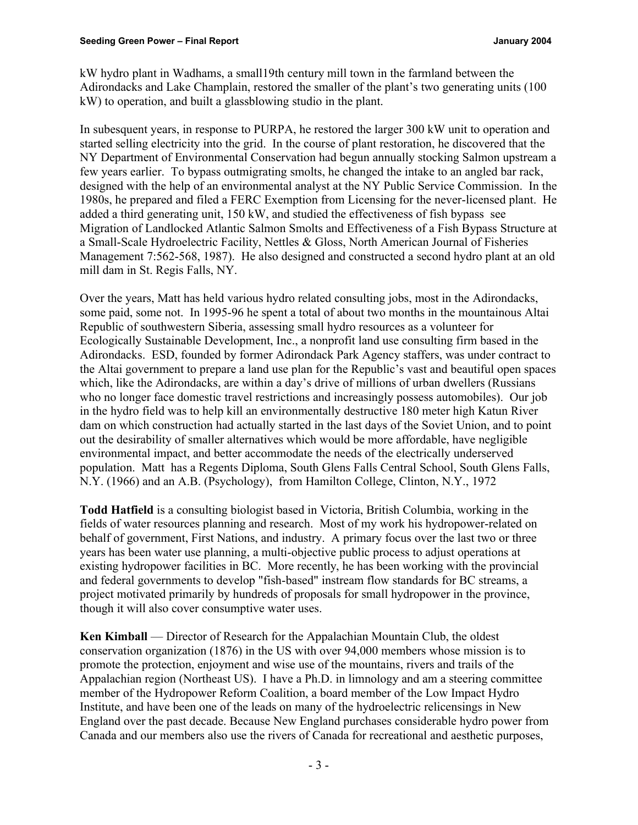kW hydro plant in Wadhams, a small19th century mill town in the farmland between the Adirondacks and Lake Champlain, restored the smaller of the plant's two generating units (100 kW) to operation, and built a glassblowing studio in the plant.

In subesquent years, in response to PURPA, he restored the larger 300 kW unit to operation and started selling electricity into the grid. In the course of plant restoration, he discovered that the NY Department of Environmental Conservation had begun annually stocking Salmon upstream a few years earlier. To bypass outmigrating smolts, he changed the intake to an angled bar rack, designed with the help of an environmental analyst at the NY Public Service Commission. In the 1980s, he prepared and filed a FERC Exemption from Licensing for the never-licensed plant. He added a third generating unit, 150 kW, and studied the effectiveness of fish bypass see Migration of Landlocked Atlantic Salmon Smolts and Effectiveness of a Fish Bypass Structure at a Small-Scale Hydroelectric Facility, Nettles & Gloss, North American Journal of Fisheries Management 7:562-568, 1987). He also designed and constructed a second hydro plant at an old mill dam in St. Regis Falls, NY.

Over the years, Matt has held various hydro related consulting jobs, most in the Adirondacks, some paid, some not. In 1995-96 he spent a total of about two months in the mountainous Altai Republic of southwestern Siberia, assessing small hydro resources as a volunteer for Ecologically Sustainable Development, Inc., a nonprofit land use consulting firm based in the Adirondacks. ESD, founded by former Adirondack Park Agency staffers, was under contract to the Altai government to prepare a land use plan for the Republic's vast and beautiful open spaces which, like the Adirondacks, are within a day's drive of millions of urban dwellers (Russians who no longer face domestic travel restrictions and increasingly possess automobiles). Our job in the hydro field was to help kill an environmentally destructive 180 meter high Katun River dam on which construction had actually started in the last days of the Soviet Union, and to point out the desirability of smaller alternatives which would be more affordable, have negligible environmental impact, and better accommodate the needs of the electrically underserved population. Matt has a Regents Diploma, South Glens Falls Central School, South Glens Falls, N.Y. (1966) and an A.B. (Psychology), from Hamilton College, Clinton, N.Y., 1972

**Todd Hatfield** is a consulting biologist based in Victoria, British Columbia, working in the fields of water resources planning and research. Most of my work his hydropower-related on behalf of government, First Nations, and industry. A primary focus over the last two or three years has been water use planning, a multi-objective public process to adjust operations at existing hydropower facilities in BC. More recently, he has been working with the provincial and federal governments to develop "fish-based" instream flow standards for BC streams, a project motivated primarily by hundreds of proposals for small hydropower in the province, though it will also cover consumptive water uses.

**Ken Kimball** — Director of Research for the Appalachian Mountain Club, the oldest conservation organization (1876) in the US with over 94,000 members whose mission is to promote the protection, enjoyment and wise use of the mountains, rivers and trails of the Appalachian region (Northeast US). I have a Ph.D. in limnology and am a steering committee member of the Hydropower Reform Coalition, a board member of the Low Impact Hydro Institute, and have been one of the leads on many of the hydroelectric relicensings in New England over the past decade. Because New England purchases considerable hydro power from Canada and our members also use the rivers of Canada for recreational and aesthetic purposes,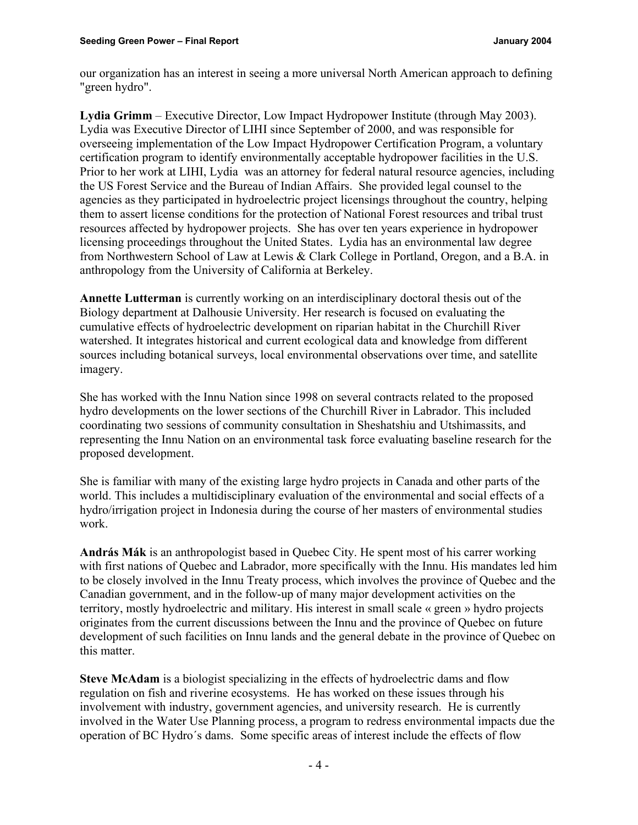our organization has an interest in seeing a more universal North American approach to defining "green hydro".

**Lydia Grimm** – Executive Director, Low Impact Hydropower Institute (through May 2003). Lydia was Executive Director of LIHI since September of 2000, and was responsible for overseeing implementation of the Low Impact Hydropower Certification Program, a voluntary certification program to identify environmentally acceptable hydropower facilities in the U.S. Prior to her work at LIHI, Lydia was an attorney for federal natural resource agencies, including the US Forest Service and the Bureau of Indian Affairs. She provided legal counsel to the agencies as they participated in hydroelectric project licensings throughout the country, helping them to assert license conditions for the protection of National Forest resources and tribal trust resources affected by hydropower projects. She has over ten years experience in hydropower licensing proceedings throughout the United States. Lydia has an environmental law degree from Northwestern School of Law at Lewis & Clark College in Portland, Oregon, and a B.A. in anthropology from the University of California at Berkeley.

**Annette Lutterman** is currently working on an interdisciplinary doctoral thesis out of the Biology department at Dalhousie University. Her research is focused on evaluating the cumulative effects of hydroelectric development on riparian habitat in the Churchill River watershed. It integrates historical and current ecological data and knowledge from different sources including botanical surveys, local environmental observations over time, and satellite imagery.

She has worked with the Innu Nation since 1998 on several contracts related to the proposed hydro developments on the lower sections of the Churchill River in Labrador. This included coordinating two sessions of community consultation in Sheshatshiu and Utshimassits, and representing the Innu Nation on an environmental task force evaluating baseline research for the proposed development.

She is familiar with many of the existing large hydro projects in Canada and other parts of the world. This includes a multidisciplinary evaluation of the environmental and social effects of a hydro/irrigation project in Indonesia during the course of her masters of environmental studies work.

**András Mák** is an anthropologist based in Quebec City. He spent most of his carrer working with first nations of Quebec and Labrador, more specifically with the Innu. His mandates led him to be closely involved in the Innu Treaty process, which involves the province of Quebec and the Canadian government, and in the follow-up of many major development activities on the territory, mostly hydroelectric and military. His interest in small scale « green » hydro projects originates from the current discussions between the Innu and the province of Quebec on future development of such facilities on Innu lands and the general debate in the province of Quebec on this matter.

**Steve McAdam** is a biologist specializing in the effects of hydroelectric dams and flow regulation on fish and riverine ecosystems. He has worked on these issues through his involvement with industry, government agencies, and university research. He is currently involved in the Water Use Planning process, a program to redress environmental impacts due the operation of BC Hydro´s dams. Some specific areas of interest include the effects of flow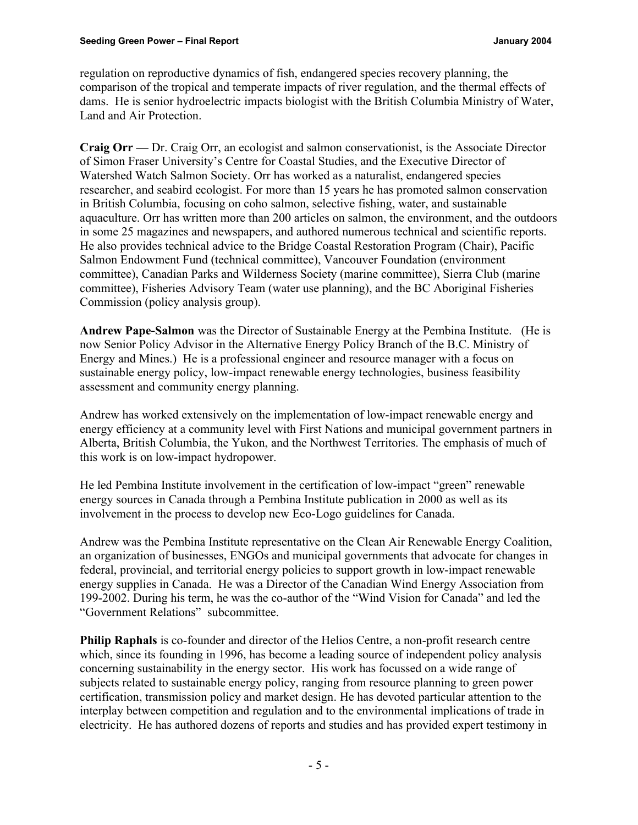regulation on reproductive dynamics of fish, endangered species recovery planning, the comparison of the tropical and temperate impacts of river regulation, and the thermal effects of dams. He is senior hydroelectric impacts biologist with the British Columbia Ministry of Water, Land and Air Protection.

**Craig Orr —** Dr. Craig Orr, an ecologist and salmon conservationist, is the Associate Director of Simon Fraser University's Centre for Coastal Studies, and the Executive Director of Watershed Watch Salmon Society. Orr has worked as a naturalist, endangered species researcher, and seabird ecologist. For more than 15 years he has promoted salmon conservation in British Columbia, focusing on coho salmon, selective fishing, water, and sustainable aquaculture. Orr has written more than 200 articles on salmon, the environment, and the outdoors in some 25 magazines and newspapers, and authored numerous technical and scientific reports. He also provides technical advice to the Bridge Coastal Restoration Program (Chair), Pacific Salmon Endowment Fund (technical committee), Vancouver Foundation (environment committee), Canadian Parks and Wilderness Society (marine committee), Sierra Club (marine committee), Fisheries Advisory Team (water use planning), and the BC Aboriginal Fisheries Commission (policy analysis group).

**Andrew Pape-Salmon** was the Director of Sustainable Energy at the Pembina Institute. (He is now Senior Policy Advisor in the Alternative Energy Policy Branch of the B.C. Ministry of Energy and Mines.) He is a professional engineer and resource manager with a focus on sustainable energy policy, low-impact renewable energy technologies, business feasibility assessment and community energy planning.

Andrew has worked extensively on the implementation of low-impact renewable energy and energy efficiency at a community level with First Nations and municipal government partners in Alberta, British Columbia, the Yukon, and the Northwest Territories. The emphasis of much of this work is on low-impact hydropower.

He led Pembina Institute involvement in the certification of low-impact "green" renewable energy sources in Canada through a Pembina Institute publication in 2000 as well as its involvement in the process to develop new Eco-Logo guidelines for Canada.

Andrew was the Pembina Institute representative on the Clean Air Renewable Energy Coalition, an organization of businesses, ENGOs and municipal governments that advocate for changes in federal, provincial, and territorial energy policies to support growth in low-impact renewable energy supplies in Canada. He was a Director of the Canadian Wind Energy Association from 199-2002. During his term, he was the co-author of the "Wind Vision for Canada" and led the "Government Relations" subcommittee.

**Philip Raphals** is co-founder and director of the Helios Centre, a non-profit research centre which, since its founding in 1996, has become a leading source of independent policy analysis concerning sustainability in the energy sector. His work has focussed on a wide range of subjects related to sustainable energy policy, ranging from resource planning to green power certification, transmission policy and market design. He has devoted particular attention to the interplay between competition and regulation and to the environmental implications of trade in electricity. He has authored dozens of reports and studies and has provided expert testimony in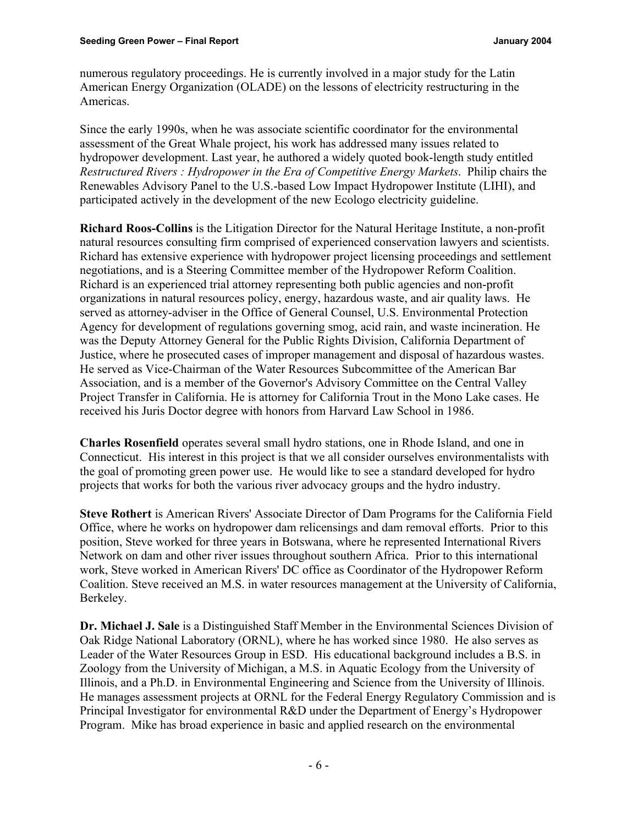numerous regulatory proceedings. He is currently involved in a major study for the Latin American Energy Organization (OLADE) on the lessons of electricity restructuring in the Americas.

Since the early 1990s, when he was associate scientific coordinator for the environmental assessment of the Great Whale project, his work has addressed many issues related to hydropower development. Last year, he authored a widely quoted book-length study entitled *Restructured Rivers : Hydropower in the Era of Competitive Energy Markets*. Philip chairs the Renewables Advisory Panel to the U.S.-based Low Impact Hydropower Institute (LIHI), and participated actively in the development of the new Ecologo electricity guideline.

**Richard Roos-Collins** is the Litigation Director for the Natural Heritage Institute, a non-profit natural resources consulting firm comprised of experienced conservation lawyers and scientists. Richard has extensive experience with hydropower project licensing proceedings and settlement negotiations, and is a Steering Committee member of the Hydropower Reform Coalition. Richard is an experienced trial attorney representing both public agencies and non-profit organizations in natural resources policy, energy, hazardous waste, and air quality laws. He served as attorney-adviser in the Office of General Counsel, U.S. Environmental Protection Agency for development of regulations governing smog, acid rain, and waste incineration. He was the Deputy Attorney General for the Public Rights Division, California Department of Justice, where he prosecuted cases of improper management and disposal of hazardous wastes. He served as Vice-Chairman of the Water Resources Subcommittee of the American Bar Association, and is a member of the Governor's Advisory Committee on the Central Valley Project Transfer in California. He is attorney for California Trout in the Mono Lake cases. He received his Juris Doctor degree with honors from Harvard Law School in 1986.

**Charles Rosenfield** operates several small hydro stations, one in Rhode Island, and one in Connecticut. His interest in this project is that we all consider ourselves environmentalists with the goal of promoting green power use. He would like to see a standard developed for hydro projects that works for both the various river advocacy groups and the hydro industry.

**Steve Rothert** is American Rivers' Associate Director of Dam Programs for the California Field Office, where he works on hydropower dam relicensings and dam removal efforts. Prior to this position, Steve worked for three years in Botswana, where he represented International Rivers Network on dam and other river issues throughout southern Africa. Prior to this international work, Steve worked in American Rivers' DC office as Coordinator of the Hydropower Reform Coalition. Steve received an M.S. in water resources management at the University of California, Berkeley.

**Dr. Michael J. Sale** is a Distinguished Staff Member in the Environmental Sciences Division of Oak Ridge National Laboratory (ORNL), where he has worked since 1980. He also serves as Leader of the Water Resources Group in ESD. His educational background includes a B.S. in Zoology from the University of Michigan, a M.S. in Aquatic Ecology from the University of Illinois, and a Ph.D. in Environmental Engineering and Science from the University of Illinois. He manages assessment projects at ORNL for the Federal Energy Regulatory Commission and is Principal Investigator for environmental R&D under the Department of Energy's Hydropower Program. Mike has broad experience in basic and applied research on the environmental